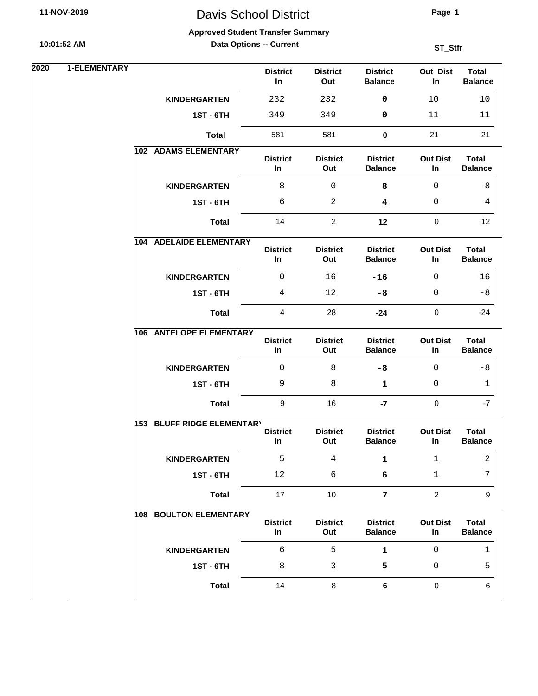# Davis School District

**Page 1**

#### **Approved Student Transfer Summary**

**Data Options -- Current**

| 2020 | 1-ELEMENTARY |                            | <b>District</b><br>In    | <b>District</b><br>Out | <b>District</b><br><b>Balance</b> | Out Dist<br>In        | <b>Total</b><br><b>Balance</b> |
|------|--------------|----------------------------|--------------------------|------------------------|-----------------------------------|-----------------------|--------------------------------|
|      |              | <b>KINDERGARTEN</b>        | 232                      | 232                    | 0                                 | 10                    | 10                             |
|      |              | <b>1ST - 6TH</b>           | 349                      | 349                    | 0                                 | 11                    | 11                             |
|      |              | <b>Total</b>               | 581                      | 581                    | $\pmb{0}$                         | 21                    | 21                             |
|      |              | 102 ADAMS ELEMENTARY       | <b>District</b><br>In    | <b>District</b><br>Out | <b>District</b><br><b>Balance</b> | <b>Out Dist</b><br>In | <b>Total</b><br><b>Balance</b> |
|      |              | <b>KINDERGARTEN</b>        | 8                        | 0                      | 8                                 | 0                     | 8                              |
|      |              | <b>1ST - 6TH</b>           | 6                        | 2                      | 4                                 | 0                     | 4                              |
|      |              | <b>Total</b>               | 14                       | $\overline{2}$         | 12                                | $\pmb{0}$             | 12                             |
|      |              | 104 ADELAIDE ELEMENTARY    | <b>District</b><br>In    | <b>District</b><br>Out | <b>District</b><br><b>Balance</b> | <b>Out Dist</b><br>In | <b>Total</b><br><b>Balance</b> |
|      |              | <b>KINDERGARTEN</b>        | $\mathbf 0$              | 16                     | $-16$                             | $\mathbf 0$           | $-16$                          |
|      |              | <b>1ST - 6TH</b>           | 4                        | 12                     | $-8$                              | 0                     | $-8$                           |
|      |              | <b>Total</b>               | $\overline{\mathbf{4}}$  | 28                     | $-24$                             | $\pmb{0}$             | $-24$                          |
|      |              | 106 ANTELOPE ELEMENTARY    | <b>District</b><br>$\ln$ | <b>District</b><br>Out | <b>District</b><br><b>Balance</b> | <b>Out Dist</b><br>In | <b>Total</b><br><b>Balance</b> |
|      |              | <b>KINDERGARTEN</b>        | $\mathbf 0$              | 8                      | $-8$                              | $\mathbf{0}$          | $-8$                           |
|      |              | <b>1ST - 6TH</b>           | 9                        | 8                      | $\mathbf 1$                       | $\mathbf 0$           | 1                              |
|      |              | <b>Total</b>               | 9                        | 16                     | $-7$                              | $\mathbf 0$           | $-7$                           |
|      |              | 153 BLUFF RIDGE ELEMENTARY | <b>District</b><br>In    | <b>District</b><br>Out | <b>District</b><br><b>Balance</b> | <b>Out Dist</b><br>In | <b>Total</b><br><b>Balance</b> |
|      |              | <b>KINDERGARTEN</b>        | 5                        | 4                      | 1                                 | $\mathbf{1}$          | 2                              |
|      |              | <b>1ST - 6TH</b>           | $12$                     | 6                      | 6                                 | $\mathbf{1}$          | 7                              |
|      |              | <b>Total</b>               | 17                       | 10                     | $\overline{7}$                    | $\overline{2}$        | 9                              |
|      |              | 108 BOULTON ELEMENTARY     | <b>District</b><br>In    | <b>District</b><br>Out | <b>District</b><br><b>Balance</b> | <b>Out Dist</b><br>In | <b>Total</b><br><b>Balance</b> |
|      |              | <b>KINDERGARTEN</b>        | 6                        | 5                      | $\mathbf{1}$                      | 0                     | 1                              |
|      |              | <b>1ST - 6TH</b>           | 8                        | 3                      | 5                                 | 0                     | 5                              |
|      |              | <b>Total</b>               | 14                       | 8                      | $\bf 6$                           | $\pmb{0}$             | 6                              |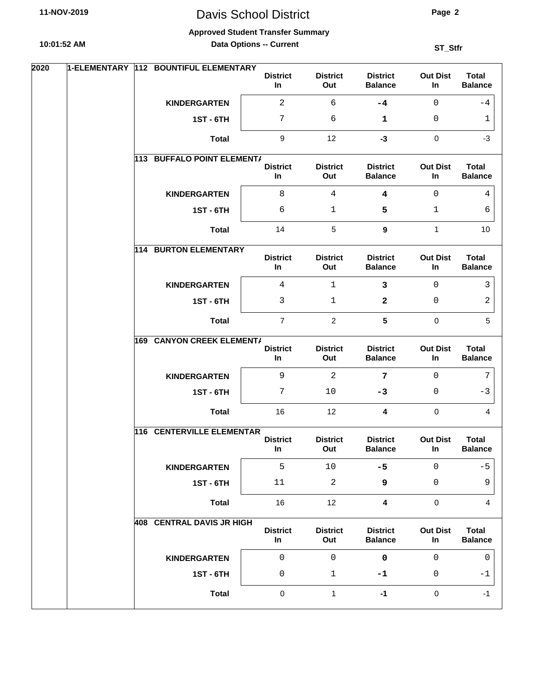# Davis School District

**Page 2**

#### **Approved Student Transfer Summary**

**Data Options -- Current**

| 2020 | 1-ELEMENTARY | 112 BOUNTIFUL ELEMENTARY          | <b>District</b><br>In | <b>District</b><br>Out  | <b>District</b><br><b>Balance</b> | <b>Out Dist</b><br>In | <b>Total</b><br><b>Balance</b> |
|------|--------------|-----------------------------------|-----------------------|-------------------------|-----------------------------------|-----------------------|--------------------------------|
|      |              | <b>KINDERGARTEN</b>               | $\overline{2}$        | 6                       | $-4$                              | $\mathsf{O}$          | -4                             |
|      |              | <b>1ST - 6TH</b>                  | 7                     | 6                       | 1                                 | $\mathbf{0}$          | 1                              |
|      |              | <b>Total</b>                      | $\boldsymbol{9}$      | 12                      | $-3$                              | $\mathbf 0$           | $-3$                           |
|      |              | 113 BUFFALO POINT ELEMENT/        | <b>District</b><br>In | <b>District</b><br>Out  | <b>District</b><br><b>Balance</b> | <b>Out Dist</b><br>In | <b>Total</b><br><b>Balance</b> |
|      |              | <b>KINDERGARTEN</b>               | 8                     | 4                       | 4                                 | $\Omega$              | 4                              |
|      |              | <b>1ST - 6TH</b>                  | 6                     | 1                       | 5                                 | $\mathbf{1}$          | 6                              |
|      |              | <b>Total</b>                      | 14                    | 5                       | $\boldsymbol{9}$                  | $\mathbf{1}$          | 10                             |
|      |              | <b>114 BURTON ELEMENTARY</b>      | <b>District</b><br>In | <b>District</b><br>Out  | <b>District</b><br><b>Balance</b> | <b>Out Dist</b><br>In | <b>Total</b><br><b>Balance</b> |
|      |              | <b>KINDERGARTEN</b>               | $\overline{4}$        | $\mathbf{1}$            | $\overline{\mathbf{3}}$           | $\mathbf{0}$          | 3                              |
|      |              | <b>1ST - 6TH</b>                  | 3                     | 1                       | $\mathbf{2}$                      | 0                     | 2                              |
|      |              | <b>Total</b>                      | $\overline{7}$        | $\overline{c}$          | $5\phantom{.0}$                   | $\mathbf 0$           | 5                              |
|      | 169          | <b>CANYON CREEK ELEMENT/</b>      | <b>District</b><br>In | <b>District</b><br>Out  | <b>District</b><br><b>Balance</b> | <b>Out Dist</b><br>In | <b>Total</b><br><b>Balance</b> |
|      |              | <b>KINDERGARTEN</b>               | 9                     | $\overline{2}$          | 7                                 | $\mathbf 0$           | 7                              |
|      |              | <b>1ST - 6TH</b>                  | 7                     | 10                      | $-3$                              | $\mathbf{0}$          | $-3$                           |
|      |              | <b>Total</b>                      | 16                    | 12                      | 4                                 | $\mathbf 0$           | 4                              |
|      |              | <b>116 CENTERVILLE ELEMENTART</b> |                       |                         |                                   |                       |                                |
|      |              |                                   | <b>District</b><br>In | <b>District</b><br>Out  | <b>District</b><br><b>Balance</b> | <b>Out Dist</b><br>In | <b>Total</b><br><b>Balance</b> |
|      |              | <b>KINDERGARTEN</b>               | 5                     | $10$                    | $-5$                              | $\mathsf{O}$          | $-5$                           |
|      |              | <b>1ST - 6TH</b>                  | 11                    | $\overline{\mathbf{c}}$ | 9                                 | $\mathsf 0$           | 9                              |
|      |              | <b>Total</b>                      | 16                    | 12                      | $\overline{\mathbf{4}}$           | $\mathbf 0$           | $\overline{4}$                 |
|      |              | <b>408 CENTRAL DAVIS JR HIGH</b>  | <b>District</b><br>In | <b>District</b><br>Out  | <b>District</b><br><b>Balance</b> | <b>Out Dist</b><br>In | <b>Total</b><br><b>Balance</b> |
|      |              | <b>KINDERGARTEN</b>               | $\mathsf 0$           | $\mathbf 0$             | $\mathbf 0$                       | $\Omega$              | $\mathbf{0}$                   |
|      |              | <b>1ST - 6TH</b>                  | 0                     | $\mathbf{1}$            | -1                                | 0                     | $-1$                           |
|      |              | <b>Total</b>                      | $\pmb{0}$             | $\mathbf{1}$            | $-1$                              | $\mathsf{O}\xspace$   | $-1$                           |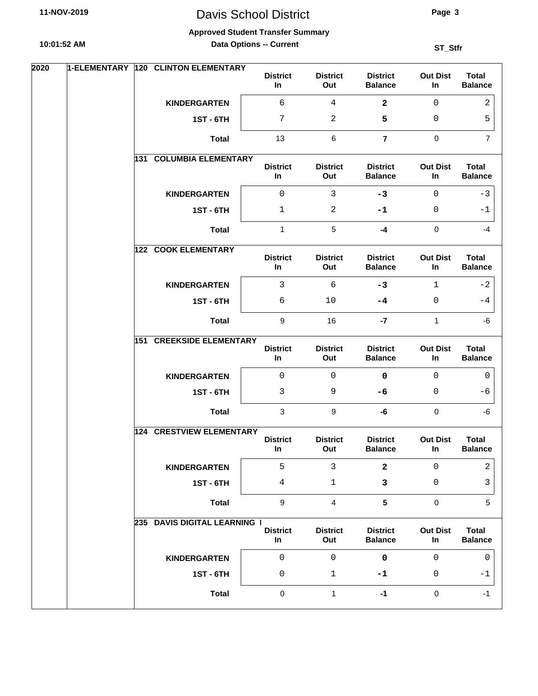# Davis School District

**Page 3**

#### **Approved Student Transfer Summary**

**Data Options -- Current**

| 2020 | 1-ELEMENTARY 120 CLINTON ELEMENTARY | <b>District</b><br>In | <b>District</b><br>Out | <b>District</b><br><b>Balance</b> | <b>Out Dist</b><br>In | <b>Total</b><br><b>Balance</b> |
|------|-------------------------------------|-----------------------|------------------------|-----------------------------------|-----------------------|--------------------------------|
|      | <b>KINDERGARTEN</b>                 | 6                     | $\overline{4}$         | $\mathbf{2}$                      | $\mathbf 0$           | 2                              |
|      | <b>1ST - 6TH</b>                    | 7                     | 2                      | 5                                 | 0                     | 5                              |
|      | <b>Total</b>                        | 13                    | 6                      | $\overline{7}$                    | $\mathbf 0$           | $\overline{7}$                 |
|      | <b>COLUMBIA ELEMENTARY</b><br>131   | <b>District</b><br>In | <b>District</b><br>Out | <b>District</b><br><b>Balance</b> | <b>Out Dist</b><br>In | <b>Total</b><br><b>Balance</b> |
|      | <b>KINDERGARTEN</b>                 | $\mathbf 0$           | 3                      | $-3$                              | $\Omega$              | $-3$                           |
|      | <b>1ST - 6TH</b>                    | $\mathbf 1$           | 2                      | -1                                | 0                     | $-1$                           |
|      | <b>Total</b>                        | $\mathbf{1}$          | $\sqrt{5}$             | $-4$                              | $\mathbf 0$           | $-4$                           |
|      | 122 COOK ELEMENTARY                 | <b>District</b><br>In | <b>District</b><br>Out | <b>District</b><br><b>Balance</b> | <b>Out Dist</b><br>In | <b>Total</b><br><b>Balance</b> |
|      | <b>KINDERGARTEN</b>                 | 3                     | 6                      | $-3$                              | 1                     | $-2$                           |
|      | <b>1ST - 6TH</b>                    | 6                     | $10$                   | -4                                | 0                     | $-4$                           |
|      | <b>Total</b>                        | $9\,$                 | 16                     | $-7$                              | $\mathbf{1}$          | -6                             |
|      | <b>CREEKSIDE ELEMENTARY</b><br>151  | <b>District</b><br>In | <b>District</b><br>Out | <b>District</b><br><b>Balance</b> | <b>Out Dist</b><br>In | <b>Total</b><br><b>Balance</b> |
|      | <b>KINDERGARTEN</b>                 | $\mathsf 0$           | 0                      | $\mathbf 0$                       | $\mathbf 0$           | 0                              |
|      | <b>1ST - 6TH</b>                    | 3                     | 9                      | -6                                | 0                     | -6                             |
|      | <b>Total</b>                        | 3                     | 9                      | -6                                | $\mathbf 0$           | -6                             |
|      | <b>124 CRESTVIEW ELEMENTARY</b>     | <b>District</b><br>In | <b>District</b><br>Out | <b>District</b><br><b>Balance</b> | <b>Out Dist</b><br>In | <b>Total</b><br><b>Balance</b> |
|      | <b>KINDERGARTEN</b>                 | 5                     | $\mathbf{3}$           | $\mathbf{2}$                      | $\mathbf 0$           | 2                              |
|      | <b>1ST - 6TH</b>                    | 4                     | 1                      | 3                                 | $\mathsf 0$           | 3                              |
|      | <b>Total</b>                        | $\boldsymbol{9}$      | $\overline{4}$         | $5\phantom{a}$                    | $\mathbf 0$           | 5                              |
|      | 235 DAVIS DIGITAL LEARNING I        | <b>District</b><br>In | <b>District</b><br>Out | <b>District</b><br><b>Balance</b> | <b>Out Dist</b><br>In | <b>Total</b><br><b>Balance</b> |
|      | <b>KINDERGARTEN</b>                 | $\mathsf 0$           | 0                      | $\mathbf 0$                       | $\Omega$              | 0                              |
|      | <b>1ST - 6TH</b>                    | 0                     | $\mathbf{1}$           | -1                                | 0                     | $-1$                           |
|      | <b>Total</b>                        | $\mathbf 0$           | $\mathbf{1}$           | $-1$                              | $\mathsf{O}\xspace$   | $-1$                           |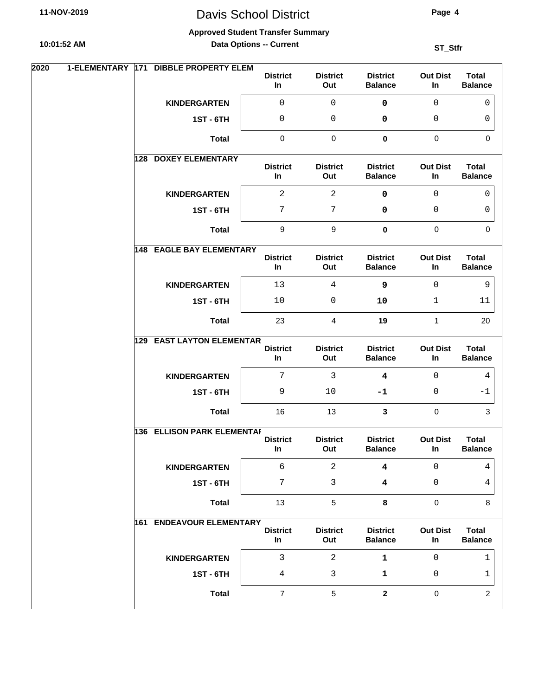# Davis School District

**Page 4**

#### **Approved Student Transfer Summary**

**Data Options -- Current**

| 2020 | 1-ELEMENTARY | 171 DIBBLE PROPERTY ELEM          | <b>District</b><br>In | <b>District</b><br>Out | <b>District</b><br><b>Balance</b> | <b>Out Dist</b><br>In | <b>Total</b><br><b>Balance</b> |
|------|--------------|-----------------------------------|-----------------------|------------------------|-----------------------------------|-----------------------|--------------------------------|
|      |              | <b>KINDERGARTEN</b>               | 0                     | $\mathbf 0$            | $\mathbf 0$                       | $\mathsf{O}\xspace$   | $\mathbf{0}$                   |
|      |              | <b>1ST - 6TH</b>                  | 0                     | $\mathsf 0$            | 0                                 | 0                     | 0                              |
|      |              | <b>Total</b>                      | $\pmb{0}$             | $\pmb{0}$              | $\mathbf 0$                       | $\mathbf 0$           | $\Omega$                       |
|      |              | <b>DOXEY ELEMENTARY</b><br>128    | <b>District</b><br>In | <b>District</b><br>Out | <b>District</b><br><b>Balance</b> | <b>Out Dist</b><br>In | <b>Total</b><br><b>Balance</b> |
|      |              | <b>KINDERGARTEN</b>               | $\overline{a}$        | $\overline{a}$         | 0                                 | $\mathbf 0$           | $\Omega$                       |
|      |              | <b>1ST - 6TH</b>                  | 7                     | $\overline{7}$         | 0                                 | $\mathbf{0}$          | 0                              |
|      |              | <b>Total</b>                      | $\boldsymbol{9}$      | $\boldsymbol{9}$       | $\mathbf 0$                       | $\mathbf 0$           | $\mathbf 0$                    |
|      |              | <b>148 EAGLE BAY ELEMENTARY</b>   | <b>District</b><br>In | <b>District</b><br>Out | <b>District</b><br><b>Balance</b> | <b>Out Dist</b><br>In | <b>Total</b><br><b>Balance</b> |
|      |              | <b>KINDERGARTEN</b>               | 13                    | $\overline{4}$         | 9                                 | $\mathbf 0$           | 9                              |
|      |              | <b>1ST - 6TH</b>                  | 10                    | $\mathsf 0$            | 10                                | $\mathbf 1$           | 11                             |
|      |              | <b>Total</b>                      | 23                    | 4                      | 19                                | $\mathbf{1}$          | 20                             |
|      |              | <b>129 EAST LAYTON ELEMENTAR</b>  | <b>District</b><br>In | <b>District</b><br>Out | <b>District</b><br><b>Balance</b> | <b>Out Dist</b><br>In | <b>Total</b><br><b>Balance</b> |
|      |              | <b>KINDERGARTEN</b>               | 7                     | $\mathbf{3}$           | $\overline{\mathbf{4}}$           | $\mathbf{0}$          | 4                              |
|      |              | <b>1ST - 6TH</b>                  | 9                     | 10                     | -1                                | $\mathbf{0}$          | -1                             |
|      |              | <b>Total</b>                      | 16                    | 13                     | 3                                 | $\mathbf 0$           | 3                              |
|      |              | <b>136 ELLISON PARK ELEMENTAF</b> | <b>District</b><br>In | <b>District</b><br>Out | <b>District</b><br><b>Balance</b> | <b>Out Dist</b><br>In | <b>Total</b><br><b>Balance</b> |
|      |              | <b>KINDERGARTEN</b>               | б                     | $\overline{a}$         | $\overline{\mathbf{4}}$           | $\mathbf 0$           | $\overline{4}$                 |
|      |              | <b>1ST - 6TH</b>                  | 7                     | 3                      | 4                                 | 0                     | 4                              |
|      |              | <b>Total</b>                      | 13                    | $\sqrt{5}$             | 8                                 | $\mathbf 0$           | 8                              |
|      |              | <b>161 ENDEAVOUR ELEMENTARY</b>   | <b>District</b><br>In | <b>District</b><br>Out | <b>District</b><br><b>Balance</b> | <b>Out Dist</b><br>In | <b>Total</b><br><b>Balance</b> |
|      |              | <b>KINDERGARTEN</b>               | 3                     | $\overline{a}$         | 1                                 | $\mathbf 0$           | 1                              |
|      |              | <b>1ST - 6TH</b>                  | 4                     | $\mathbf{3}$           | 1                                 | 0                     | 1                              |
|      |              | <b>Total</b>                      | $\overline{7}$        | 5                      | $\overline{2}$                    | $\mathbf 0$           | $\overline{2}$                 |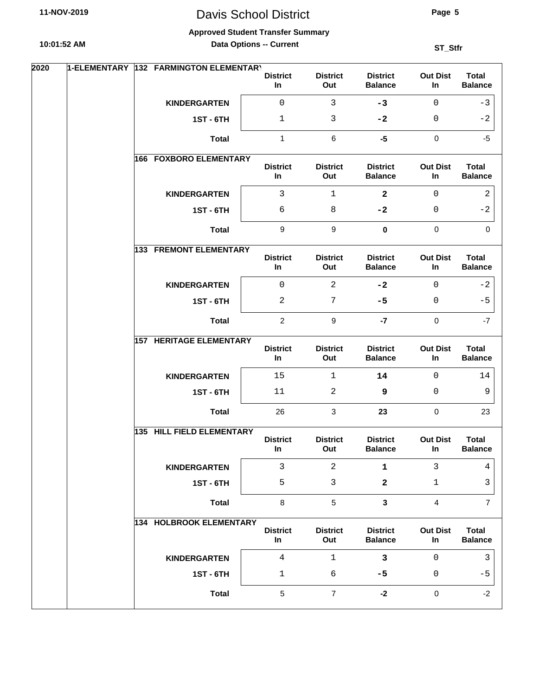# Davis School District

**Page 5**

#### **Approved Student Transfer Summary**

**Data Options -- Current**

| 2020 | 1-ELEMENTARY 132 FARMINGTON ELEMENTARY |                       |                        |                                   |                       |                                |
|------|----------------------------------------|-----------------------|------------------------|-----------------------------------|-----------------------|--------------------------------|
|      |                                        | <b>District</b><br>In | <b>District</b><br>Out | <b>District</b><br><b>Balance</b> | <b>Out Dist</b><br>In | <b>Total</b><br><b>Balance</b> |
|      | <b>KINDERGARTEN</b>                    | $\mathsf{O}\xspace$   | 3                      | $-3$                              | $\Omega$              | $-3$                           |
|      | <b>1ST - 6TH</b>                       | $\mathbf 1$           | 3                      | $-2$                              | $\mathbf{0}$          | $-2$                           |
|      | <b>Total</b>                           | 1                     | 6                      | $-5$                              | $\mathbf 0$           | $-5$                           |
|      | <b>166 FOXBORO ELEMENTARY</b>          | <b>District</b><br>In | <b>District</b><br>Out | <b>District</b><br><b>Balance</b> | <b>Out Dist</b><br>In | <b>Total</b><br><b>Balance</b> |
|      | <b>KINDERGARTEN</b>                    | 3                     | $\mathbf{1}$           | $\overline{\mathbf{2}}$           | $\Omega$              | 2                              |
|      | <b>1ST - 6TH</b>                       | 6                     | 8                      | $-2$                              | $\mathbf 0$           | $-2$                           |
|      | <b>Total</b>                           | 9                     | 9                      | $\mathbf 0$                       | $\mathbf 0$           | $\mathbf{0}$                   |
|      | <b>133 FREMONT ELEMENTARY</b>          | <b>District</b><br>In | <b>District</b><br>Out | <b>District</b><br><b>Balance</b> | <b>Out Dist</b><br>In | <b>Total</b><br><b>Balance</b> |
|      | <b>KINDERGARTEN</b>                    | $\mathsf 0$           | $\overline{2}$         | $-2$                              | $\Omega$              | $-2$                           |
|      | <b>1ST - 6TH</b>                       | 2                     | 7                      | $-5$                              | 0                     | $-5$                           |
|      | <b>Total</b>                           | $\overline{2}$        | 9                      | $-7$                              | $\mathbf 0$           | $-7$                           |
|      | <b>157 HERITAGE ELEMENTARY</b>         | <b>District</b><br>In | <b>District</b><br>Out | <b>District</b><br><b>Balance</b> | <b>Out Dist</b><br>In | <b>Total</b><br><b>Balance</b> |
|      | <b>KINDERGARTEN</b>                    | 15                    | $\mathbf{1}$           | 14                                | $\Omega$              | 14                             |
|      | <b>1ST - 6TH</b>                       | 11                    | 2                      | 9                                 | $\mathbf 0$           | 9                              |
|      | <b>Total</b>                           | 26                    | 3                      | 23                                | $\Omega$              | 23                             |
|      | 135 HILL FIELD ELEMENTARY              | <b>District</b><br>In | <b>District</b><br>Out | <b>District</b><br><b>Balance</b> | <b>Out Dist</b><br>In | <b>Total</b><br><b>Balance</b> |
|      | <b>KINDERGARTEN</b>                    | $\mathbf{3}$          | $\overline{2}$         | $\mathbf 1$                       | 3                     | 4                              |
|      | <b>1ST - 6TH</b>                       | 5                     | 3                      | 2                                 | $\mathbf{1}$          | 3                              |
|      | <b>Total</b>                           | 8                     | 5                      | $\mathbf{3}$                      | $\overline{4}$        | $\overline{7}$                 |
|      | 134 HOLBROOK ELEMENTARY                | <b>District</b><br>In | <b>District</b><br>Out | <b>District</b><br><b>Balance</b> | <b>Out Dist</b><br>In | <b>Total</b><br><b>Balance</b> |
|      | <b>KINDERGARTEN</b>                    | $\overline{4}$        | $\mathbf{1}$           | $\mathbf{3}$                      | $\Omega$              | 3                              |
|      | <b>1ST-6TH</b>                         | $\mathbf{1}$          | 6                      | $-5$                              | $\mathbf 0$           | $-5$                           |
|      | <b>Total</b>                           | 5                     | $\overline{7}$         | $-2$                              | $\mathbf 0$           | $-2$                           |
|      |                                        |                       |                        |                                   |                       |                                |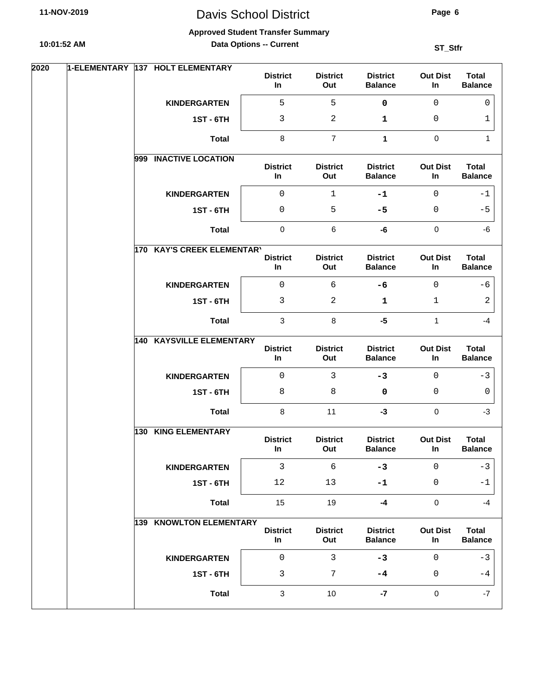# Davis School District

#### **Approved Student Transfer Summary**

**Data Options -- Current**

| 2020 | 1-ELEMENTARY |     | 137 HOLT ELEMENTARY             | <b>District</b><br>In | <b>District</b><br>Out | <b>District</b><br><b>Balance</b> | <b>Out Dist</b><br>In. | <b>Total</b><br><b>Balance</b> |
|------|--------------|-----|---------------------------------|-----------------------|------------------------|-----------------------------------|------------------------|--------------------------------|
|      |              |     | <b>KINDERGARTEN</b>             | 5                     | 5                      | $\mathbf 0$                       | $\Omega$               | 0                              |
|      |              |     | <b>1ST - 6TH</b>                | 3                     | $\overline{2}$         | 1                                 | $\mathbf 0$            | 1                              |
|      |              |     | <b>Total</b>                    | 8                     | $\overline{7}$         | 1                                 | $\mathbf 0$            | 1                              |
|      |              |     | 999 INACTIVE LOCATION           | <b>District</b><br>In | <b>District</b><br>Out | <b>District</b><br><b>Balance</b> | <b>Out Dist</b><br>In  | <b>Total</b><br><b>Balance</b> |
|      |              |     | <b>KINDERGARTEN</b>             | 0                     | $\mathbf{1}$           | $-1$                              | $\mathbf{0}$           | -1                             |
|      |              |     | <b>1ST - 6TH</b>                | 0                     | 5                      | $-5$                              | 0                      | $-5$                           |
|      |              |     | <b>Total</b>                    | $\pmb{0}$             | $\,6$                  | -6                                | $\mathbf 0$            | -6                             |
|      |              |     | 170 KAY'S CREEK ELEMENTARY      | <b>District</b>       | <b>District</b>        | <b>District</b>                   | <b>Out Dist</b>        | <b>Total</b>                   |
|      |              |     |                                 | In                    | Out                    | <b>Balance</b>                    | In                     | <b>Balance</b>                 |
|      |              |     | <b>KINDERGARTEN</b>             | $\mathbf 0$           | 6                      | $-6$                              | $\Omega$               | -6                             |
|      |              |     | <b>1ST - 6TH</b>                | 3                     | 2                      | 1                                 | $\mathbf 1$            | 2                              |
|      |              |     | <b>Total</b>                    | 3                     | 8                      | $-5$                              | $\mathbf{1}$           | $-4$                           |
|      |              |     | <b>140 KAYSVILLE ELEMENTARY</b> | <b>District</b><br>In | <b>District</b><br>Out | <b>District</b><br><b>Balance</b> | <b>Out Dist</b><br>In  | <b>Total</b><br><b>Balance</b> |
|      |              |     | <b>KINDERGARTEN</b>             | $\mathsf 0$           | $\mathbf{3}$           | $-3$                              | $\mathbf{0}$           | $-3$                           |
|      |              |     | <b>1ST - 6TH</b>                | 8                     | 8                      | 0                                 | 0                      | $\mathbf{0}$                   |
|      |              |     | <b>Total</b>                    | 8                     | 11                     | $-3$                              | $\mathbf 0$            | $-3$                           |
|      |              | 130 | <b>KING ELEMENTARY</b>          | <b>District</b><br>In | <b>District</b><br>Out | <b>District</b><br><b>Balance</b> | <b>Out Dist</b><br>In  | <b>Total</b><br><b>Balance</b> |
|      |              |     | <b>KINDERGARTEN</b>             | $\mathbf{3}$          | $\sqrt{6}$             | $-3$                              | $\mathbf 0$            | $-3$                           |
|      |              |     | <b>1ST - 6TH</b>                | 12                    | 13                     | $-1$                              | $\mathsf 0$            | $-1$                           |
|      |              |     | <b>Total</b>                    | 15                    | 19                     | $-4$                              | $\pmb{0}$              | $-4$                           |
|      |              |     | 139 KNOWLTON ELEMENTARY         | <b>District</b><br>In | <b>District</b><br>Out | <b>District</b><br><b>Balance</b> | <b>Out Dist</b><br>In  | <b>Total</b><br><b>Balance</b> |
|      |              |     | <b>KINDERGARTEN</b>             | $\mathsf{O}\xspace$   | $\mathbf{3}$           | $-3$                              | $\mathbf 0$            | $-3$                           |
|      |              |     | <b>1ST - 6TH</b>                | 3                     | $\overline{7}$         | -4                                | $\mathsf 0$            | -4                             |
|      |              |     | <b>Total</b>                    | $\mathbf{3}$          | $10$                   | $-7$                              | $\pmb{0}$              | $-7$                           |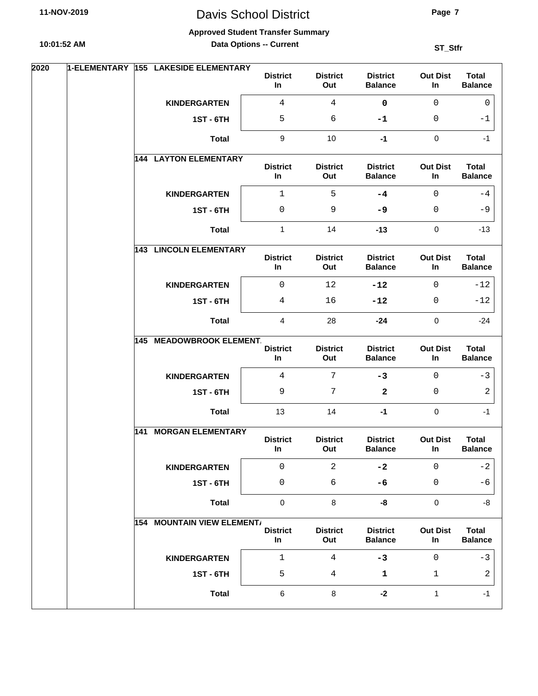# Davis School District

**Page 7**

#### **Approved Student Transfer Summary**

**Data Options -- Current**

| 2020 | 1-ELEMENTARY | 155 LAKESIDE ELEMENTARY           | <b>District</b><br>In | <b>District</b><br>Out | <b>District</b><br><b>Balance</b> | <b>Out Dist</b><br>In | <b>Total</b><br><b>Balance</b> |
|------|--------------|-----------------------------------|-----------------------|------------------------|-----------------------------------|-----------------------|--------------------------------|
|      |              | <b>KINDERGARTEN</b>               | 4                     | $\overline{4}$         | $\mathbf 0$                       | $\mathsf{O}\xspace$   | $\mathbf 0$                    |
|      |              | <b>1ST - 6TH</b>                  | 5                     | 6                      | -1                                | 0                     | $-1$                           |
|      |              | <b>Total</b>                      | $\boldsymbol{9}$      | 10                     | $-1$                              | $\mathbf 0$           | $-1$                           |
|      |              | <b>144 LAYTON ELEMENTARY</b>      | <b>District</b><br>In | <b>District</b><br>Out | <b>District</b><br><b>Balance</b> | <b>Out Dist</b><br>In | <b>Total</b><br><b>Balance</b> |
|      |              | <b>KINDERGARTEN</b>               | 1                     | 5                      | $-4$                              | $\Omega$              | $-4$                           |
|      |              | <b>1ST - 6TH</b>                  | 0                     | 9                      | -9                                | $\mathbf{0}$          | $-9$                           |
|      |              | <b>Total</b>                      | $\mathbf{1}$          | 14                     | $-13$                             | $\mathbf 0$           | $-13$                          |
|      |              | <b>143 LINCOLN ELEMENTARY</b>     | <b>District</b><br>In | <b>District</b><br>Out | <b>District</b><br><b>Balance</b> | <b>Out Dist</b><br>In | <b>Total</b><br><b>Balance</b> |
|      |              | <b>KINDERGARTEN</b>               | $\mathbf 0$           | 12                     | $-12$                             | $\mathbf 0$           | $-12$                          |
|      |              | <b>1ST - 6TH</b>                  | 4                     | 16                     | $-12$                             | 0                     | $-12$                          |
|      |              | <b>Total</b>                      | 4                     | 28                     | $-24$                             | $\mathbf 0$           | $-24$                          |
|      |              | <b>145 MEADOWBROOK ELEMENT.</b>   | <b>District</b><br>In | <b>District</b><br>Out | <b>District</b><br><b>Balance</b> | <b>Out Dist</b><br>In | <b>Total</b><br><b>Balance</b> |
|      |              | <b>KINDERGARTEN</b>               | $\overline{4}$        | $\overline{7}$         | $-3$                              | $\mathbf{0}$          | $-3$                           |
|      |              | <b>1ST - 6TH</b>                  | 9                     | 7                      | $\mathbf{2}$                      | $\mathbf{0}$          | $\overline{2}$                 |
|      |              | <b>Total</b>                      | 13                    | 14                     | $-1$                              | $\mathbf 0$           | $-1$                           |
|      | 141          | <b>MORGAN ELEMENTARY</b>          | <b>District</b><br>In | <b>District</b><br>Out | <b>District</b><br><b>Balance</b> | <b>Out Dist</b><br>In | <b>Total</b><br><b>Balance</b> |
|      |              | <b>KINDERGARTEN</b>               | 0                     | $\overline{2}$         | $-2$                              | $\mathbf 0$           | $-2$                           |
|      |              | <b>1ST - 6TH</b>                  | 0                     | 6                      | $-6$                              | 0                     | -6                             |
|      |              | <b>Total</b>                      | $\pmb{0}$             | 8                      | -8                                | $\mathbf 0$           | -8                             |
|      |              | <b>154 MOUNTAIN VIEW ELEMENT/</b> | <b>District</b><br>In | <b>District</b><br>Out | <b>District</b><br><b>Balance</b> | <b>Out Dist</b><br>In | <b>Total</b><br><b>Balance</b> |
|      |              | <b>KINDERGARTEN</b>               | 1                     | $\overline{4}$         | $-3$                              | $\mathbf 0$           | $-3$                           |
|      |              | <b>1ST - 6TH</b>                  | 5                     | 4                      | 1                                 | $\mathbf 1$           | 2                              |
|      |              | <b>Total</b>                      | 6                     | $\,8\,$                | $-2$                              | $\mathbf{1}$          | $-1$                           |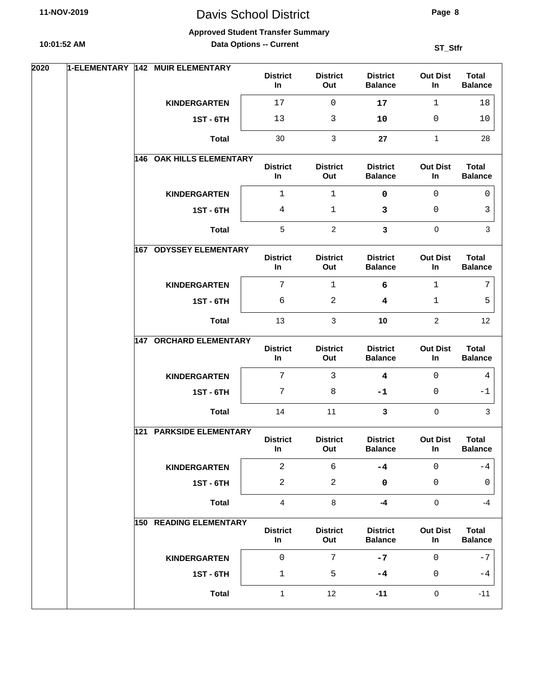# Davis School District

#### **Approved Student Transfer Summary**

**Data Options -- Current**

| 2020 |     | 1-ELEMENTARY 142 MUIR ELEMENTARY | <b>District</b><br>In    | <b>District</b><br>Out | <b>District</b><br><b>Balance</b> | <b>Out Dist</b><br>In | <b>Total</b><br><b>Balance</b> |
|------|-----|----------------------------------|--------------------------|------------------------|-----------------------------------|-----------------------|--------------------------------|
|      |     | <b>KINDERGARTEN</b>              | 17                       | 0                      | 17                                | $\mathbf 1$           | 18                             |
|      |     | <b>1ST - 6TH</b>                 | 13                       | 3                      | 10                                | 0                     | 10                             |
|      |     | <b>Total</b>                     | 30                       | 3                      | 27                                | $\mathbf{1}$          | 28                             |
|      |     | <b>146 OAK HILLS ELEMENTARY</b>  | <b>District</b><br>In    | <b>District</b><br>Out | <b>District</b><br><b>Balance</b> | <b>Out Dist</b><br>In | <b>Total</b><br><b>Balance</b> |
|      |     | <b>KINDERGARTEN</b>              | 1                        | 1                      | 0                                 | 0                     | 0                              |
|      |     | <b>1ST - 6TH</b>                 | 4                        | 1                      | 3                                 | 0                     | 3                              |
|      |     | <b>Total</b>                     | $\sqrt{5}$               | $\overline{2}$         | $\mathbf{3}$                      | $\pmb{0}$             | $\mathbf{3}$                   |
|      | 167 | <b>ODYSSEY ELEMENTARY</b>        | <b>District</b><br>In    | <b>District</b><br>Out | <b>District</b><br><b>Balance</b> | <b>Out Dist</b><br>In | <b>Total</b><br><b>Balance</b> |
|      |     | <b>KINDERGARTEN</b>              | $\overline{7}$           | $\mathbf{1}$           | 6                                 | $\mathbf 1$           | 7                              |
|      |     | <b>1ST - 6TH</b>                 | 6                        | 2                      | 4                                 | 1                     | 5                              |
|      |     | <b>Total</b>                     | 13                       | 3                      | 10                                | $\overline{c}$        | 12                             |
|      |     | <b>147 ORCHARD ELEMENTARY</b>    | <b>District</b><br>In    | <b>District</b><br>Out | <b>District</b><br><b>Balance</b> | <b>Out Dist</b><br>In | <b>Total</b><br><b>Balance</b> |
|      |     | <b>KINDERGARTEN</b>              | $\overline{7}$           | 3                      | $\overline{\mathbf{4}}$           | 0                     | 4                              |
|      |     | <b>1ST-6TH</b>                   | 7                        | 8                      | $-1$                              | 0                     | -1                             |
|      |     | <b>Total</b>                     | 14                       | 11                     | $\mathbf{3}$                      | $\mathbf 0$           | 3                              |
|      |     | <b>121 PARKSIDE ELEMENTARY</b>   | <b>District</b><br>In    | <b>District</b><br>Out | <b>District</b><br><b>Balance</b> | <b>Out Dist</b><br>In | <b>Total</b><br><b>Balance</b> |
|      |     | <b>KINDERGARTEN</b>              | $\overline{a}$           | 6                      | $-4$                              | $\mathsf 0$           | -4                             |
|      |     | <b>1ST - 6TH</b>                 | $\sqrt{2}$               | 2                      | $\pmb{0}$                         | $\mathsf 0$           | 0                              |
|      |     | <b>Total</b>                     | $\overline{4}$           | 8                      | $-4$                              | $\pmb{0}$             | $-4$                           |
|      |     | <b>150 READING ELEMENTARY</b>    | <b>District</b><br>$\ln$ | <b>District</b><br>Out | <b>District</b><br><b>Balance</b> | <b>Out Dist</b><br>In | <b>Total</b><br><b>Balance</b> |
|      |     | <b>KINDERGARTEN</b>              | $\mathsf 0$              | 7                      | $-7$                              | 0                     | $-7$                           |
|      |     | <b>1ST - 6TH</b>                 | $\mathbf 1$              | 5                      | -4                                | 0                     | $-4$                           |
|      |     | <b>Total</b>                     | $\mathbf{1}$             | 12                     | $-11$                             | $\pmb{0}$             | $-11$                          |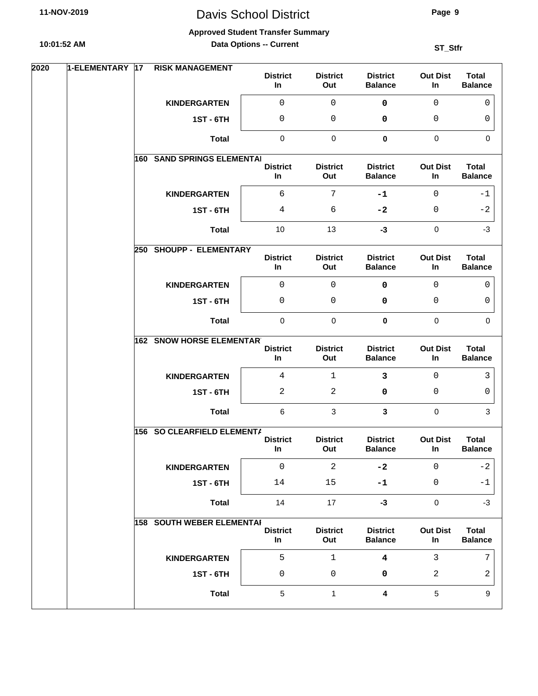# Davis School District

#### **Approved Student Transfer Summary**

**Data Options -- Current**

| 2020 | 1-ELEMENTARY | 17 | <b>RISK MANAGEMENT</b>            |                       |                        |                                   |                          |                                |
|------|--------------|----|-----------------------------------|-----------------------|------------------------|-----------------------------------|--------------------------|--------------------------------|
|      |              |    |                                   | <b>District</b><br>In | <b>District</b><br>Out | <b>District</b><br><b>Balance</b> | <b>Out Dist</b><br>In    | <b>Total</b><br><b>Balance</b> |
|      |              |    | <b>KINDERGARTEN</b>               | 0                     | 0                      | $\pmb{0}$                         | $\overline{0}$           | $\mathbf 0$                    |
|      |              |    | <b>1ST - 6TH</b>                  | 0                     | $\mathbf 0$            | 0                                 | 0                        | 0                              |
|      |              |    | <b>Total</b>                      | $\pmb{0}$             | $\pmb{0}$              | $\mathbf 0$                       | $\mathbf 0$              | $\Omega$                       |
|      |              |    | <b>160 SAND SPRINGS ELEMENTAI</b> |                       |                        |                                   |                          |                                |
|      |              |    |                                   | <b>District</b><br>In | <b>District</b><br>Out | <b>District</b><br><b>Balance</b> | <b>Out Dist</b><br>In    | <b>Total</b><br><b>Balance</b> |
|      |              |    | <b>KINDERGARTEN</b>               | 6                     | 7                      | $-1$                              | $\Omega$                 | -1                             |
|      |              |    | <b>1ST - 6TH</b>                  | 4                     | 6                      | $-2$                              | 0                        | $-2$                           |
|      |              |    | <b>Total</b>                      | 10                    | 13                     | $-3$                              | $\pmb{0}$                | $-3$                           |
|      |              |    | 250 SHOUPP - ELEMENTARY           | <b>District</b>       | <b>District</b>        | <b>District</b>                   | <b>Out Dist</b>          | <b>Total</b>                   |
|      |              |    |                                   | In                    | Out                    | <b>Balance</b>                    | In                       | <b>Balance</b>                 |
|      |              |    | <b>KINDERGARTEN</b>               | 0                     | $\mathbf 0$            | 0                                 | $\overline{0}$           | $\Omega$                       |
|      |              |    | <b>1ST - 6TH</b>                  | 0                     | 0                      | 0                                 | 0                        | 0                              |
|      |              |    | <b>Total</b>                      | $\pmb{0}$             | $\pmb{0}$              | 0                                 | $\mathbf 0$              | $\Omega$                       |
|      |              |    | <b>162 SNOW HORSE ELEMENTARY</b>  | <b>District</b>       | <b>District</b>        | <b>District</b>                   | <b>Out Dist</b>          | <b>Total</b>                   |
|      |              |    |                                   | In                    | Out                    | <b>Balance</b>                    | In                       | <b>Balance</b>                 |
|      |              |    | <b>KINDERGARTEN</b>               | 4                     | $\mathbf{1}$           | 3                                 | $\mathbf 0$              | 3                              |
|      |              |    | <b>1ST - 6TH</b>                  | 2                     | $\mathbf{2}$           | 0                                 | 0                        | 0                              |
|      |              |    | <b>Total</b>                      | 6                     | 3                      | $\mathbf{3}$                      | 0                        | 3                              |
|      |              |    | 156 SO CLEARFIELD ELEMENTA        |                       |                        |                                   |                          |                                |
|      |              |    |                                   | <b>District</b><br>In | <b>District</b><br>Out | <b>District</b><br><b>Balance</b> | <b>Out Dist</b><br>In    | <b>Total</b><br><b>Balance</b> |
|      |              |    | <b>KINDERGARTEN</b>               | $\mathsf{O}\xspace$   | $\overline{2}$         | $-2$                              | $\mathbf 0$              | $-2$                           |
|      |              |    | <b>1ST - 6TH</b>                  | 14                    | 15                     | $-1$                              | 0                        | -1                             |
|      |              |    | <b>Total</b>                      | 14                    | 17                     | $-3$                              | $\mathbf 0$              | $-3$                           |
|      |              |    | <b>158 SOUTH WEBER ELEMENTAI</b>  |                       |                        |                                   |                          |                                |
|      |              |    |                                   | <b>District</b><br>In | <b>District</b><br>Out | <b>District</b><br><b>Balance</b> | <b>Out Dist</b><br>$\ln$ | <b>Total</b><br><b>Balance</b> |
|      |              |    | <b>KINDERGARTEN</b>               | 5                     | $\mathbf{1}$           | $\overline{\mathbf{4}}$           | 3                        | 7                              |
|      |              |    | <b>1ST - 6TH</b>                  | 0                     | $\mathbf 0$            | 0                                 | 2                        | 2                              |
|      |              |    |                                   | 5                     |                        | $\overline{\mathbf{4}}$           | $\sqrt{5}$               | 9                              |
|      |              |    | <b>Total</b>                      |                       | $\mathbf{1}$           |                                   |                          |                                |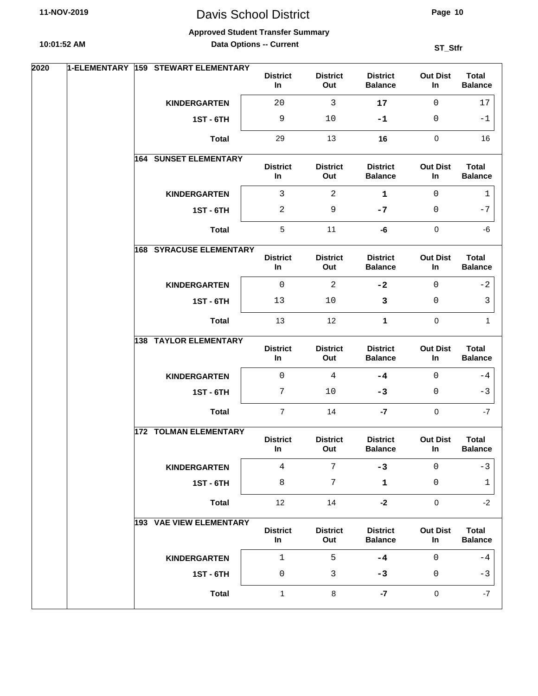**Approved Student Transfer Summary**

**10:01:52 AM**

**Data Options -- Current**

| 2020 |  | 1-ELEMENTARY 159 STEWART ELEMENTARY | <b>District</b><br>In | <b>District</b><br>Out | <b>District</b><br><b>Balance</b> | <b>Out Dist</b><br>In | <b>Total</b><br><b>Balance</b> |
|------|--|-------------------------------------|-----------------------|------------------------|-----------------------------------|-----------------------|--------------------------------|
|      |  | <b>KINDERGARTEN</b>                 | 20                    | 3                      | 17                                | $\mathbf 0$           | 17                             |
|      |  | <b>1ST - 6TH</b>                    | 9                     | 10                     | -1                                | 0                     | -1                             |
|      |  | <b>Total</b>                        | 29                    | 13                     | 16                                | $\mathbf 0$           | 16                             |
|      |  | <b>164 SUNSET ELEMENTARY</b>        | <b>District</b><br>In | <b>District</b><br>Out | <b>District</b><br><b>Balance</b> | <b>Out Dist</b><br>In | <b>Total</b><br><b>Balance</b> |
|      |  | <b>KINDERGARTEN</b>                 | $\mathbf{3}$          | 2                      | $\mathbf 1$                       | $\mathbf 0$           | 1                              |
|      |  | <b>1ST-6TH</b>                      | 2                     | 9                      | $-7$                              | $\mathbf 0$           | $-7$                           |
|      |  | <b>Total</b>                        | $\sqrt{5}$            | 11                     | -6                                | $\mathbf 0$           | -6                             |
|      |  | <b>168 SYRACUSE ELEMENTARY</b>      | <b>District</b><br>In | <b>District</b><br>Out | <b>District</b><br><b>Balance</b> | <b>Out Dist</b><br>In | <b>Total</b><br><b>Balance</b> |
|      |  | <b>KINDERGARTEN</b>                 | $\mathsf{O}$          | $\overline{a}$         | $-2$                              | $\mathbf 0$           | $-2$                           |
|      |  | <b>1ST - 6TH</b>                    | 13                    | 10                     | 3                                 | $\mathbf 0$           | 3                              |
|      |  | <b>Total</b>                        | 13                    | 12                     | $\mathbf{1}$                      | $\mathbf 0$           | $\mathbf{1}$                   |
|      |  | <b>138 TAYLOR ELEMENTARY</b>        | <b>District</b><br>In | <b>District</b><br>Out | <b>District</b><br><b>Balance</b> | <b>Out Dist</b><br>In | <b>Total</b><br><b>Balance</b> |
|      |  | <b>KINDERGARTEN</b>                 | $\mathbf 0$           | 4                      | $-4$                              | $\Omega$              | -4                             |
|      |  | <b>1ST-6TH</b>                      | 7                     | 10                     | -3                                | $\mathbf 0$           | $-3$                           |
|      |  | <b>Total</b>                        | $\overline{7}$        | 14                     | $-7$                              | $\mathbf 0$           | $-7$                           |
|      |  | 172 TOLMAN ELEMENTARY               | <b>District</b><br>In | <b>District</b><br>Out | <b>District</b><br><b>Balance</b> | <b>Out Dist</b><br>In | <b>Total</b><br><b>Balance</b> |
|      |  | <b>KINDERGARTEN</b>                 | 4                     | 7                      | $-3$                              | $\mathbf{0}$          | $-3$                           |
|      |  | <b>1ST - 6TH</b>                    | 8                     | 7                      | $\mathbf 1$                       | $\mathbf 0$           | 1                              |
|      |  | <b>Total</b>                        | 12                    | 14                     | $-2$                              | $\pmb{0}$             | $-2$                           |
|      |  | 193 VAE VIEW ELEMENTARY             | <b>District</b><br>In | <b>District</b><br>Out | <b>District</b><br><b>Balance</b> | <b>Out Dist</b><br>In | <b>Total</b><br><b>Balance</b> |
|      |  | <b>KINDERGARTEN</b>                 | $1\,$                 | 5                      | $-4$                              | $\overline{0}$        | $-4$                           |
|      |  | <b>1ST - 6TH</b>                    | 0                     | 3                      | $-3$                              | $\mathbf 0$           | $-3$                           |
|      |  | <b>Total</b>                        | 1                     | 8                      | $-7$                              | $\pmb{0}$             | $-7$                           |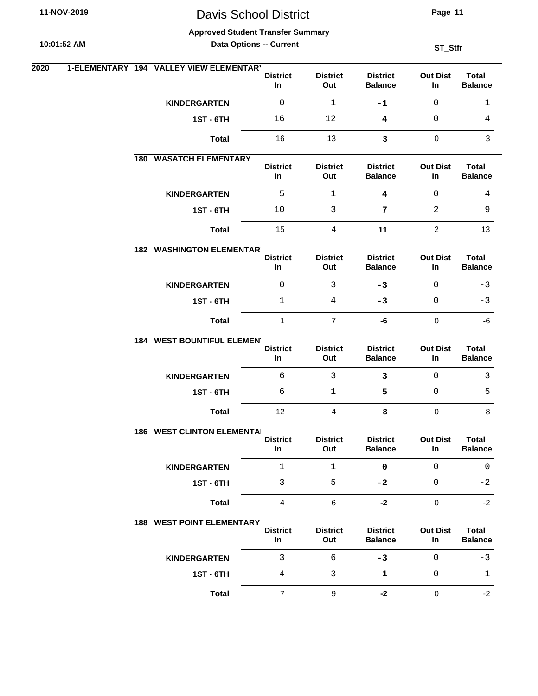# Davis School District

**Page 11**

#### **Approved Student Transfer Summary**

**Data Options -- Current**

| In<br>Out<br><b>Balance</b><br>In<br><b>Balance</b><br>$\mathsf 0$<br>$\mathbf{1}$<br>$\mathbf 0$<br><b>KINDERGARTEN</b><br>$-1$<br>$-1$<br><b>1ST - 6TH</b><br>16<br>12<br>0<br>4<br>4<br>$\mathbf 0$<br>16<br>13<br>$\mathbf{3}$<br>3<br><b>Total</b><br><b>WASATCH ELEMENTARY</b><br>180<br><b>Total</b><br><b>District</b><br><b>District</b><br><b>District</b><br><b>Out Dist</b><br>In<br>Out<br><b>Balance</b><br>In<br><b>Balance</b><br>5<br><b>KINDERGARTEN</b><br>$\mathbf{1}$<br>$\overline{\mathbf{4}}$<br>$\Omega$<br>4<br><b>1ST - 6TH</b><br>10<br>3<br>2<br>7<br>9<br>15<br>$\overline{4}$<br>11<br>$\overline{2}$<br><b>Total</b><br>13<br><b>182 WASHINGTON ELEMENTARY</b><br><b>District</b><br><b>District</b><br><b>District</b><br><b>Out Dist</b><br><b>Total</b><br>In<br><b>Balance</b><br><b>Balance</b><br>Out<br>In<br>0<br>$\mathbf{3}$<br><b>KINDERGARTEN</b><br>$-3$<br>$\Omega$<br>$-3$<br><b>1ST - 6TH</b><br>4<br>$-3$<br>0<br>$-3$<br>1<br>$\mathbf{1}$<br>$\overline{7}$<br>$\mathbf 0$<br>$-6$<br><b>Total</b><br>-6<br><b>184 WEST BOUNTIFUL ELEMENT</b><br><b>District</b><br><b>Out Dist</b><br><b>Total</b><br><b>District</b><br><b>District</b><br>Out<br><b>Balance</b><br><b>Balance</b><br>In<br>In<br>б<br>$\mathbf{3}$<br>$\mathbf{3}$<br>$\mathbf 0$<br>3<br><b>KINDERGARTEN</b><br>5<br>6<br>$\mathbf{1}$<br>5<br>0<br><b>1ST-6TH</b><br><b>Total</b><br>$\overline{4}$<br>$\mathbf 0$<br>8<br>$12 \overline{ }$<br>8<br><b>186 WEST CLINTON ELEMENTAL</b><br><b>District</b><br><b>District</b><br><b>District</b><br><b>Out Dist</b><br><b>Total</b><br>In<br>Out<br>In<br><b>Balance</b><br><b>Balance</b><br>$\mathbf{1}$<br>$\mathbf 0$<br>$\mathbf 0$<br><b>KINDERGARTEN</b><br>$\mathbf{1}$<br>$\mathbf{0}$<br>3<br>5<br>$\mathsf 0$<br><b>1ST - 6TH</b><br>$-2$<br>$-2$<br>$\mathbf 0$<br><b>Total</b><br>$\overline{4}$<br>$\,6\,$<br>$-2$<br>$-2$<br><b>188 WEST POINT ELEMENTARY</b><br><b>District</b><br><b>District</b><br><b>Out Dist</b><br><b>Total</b><br><b>District</b><br>In<br>Out<br><b>Balance</b><br>In<br><b>Balance</b><br><b>KINDERGARTEN</b><br>3<br>6<br>$-3$<br>$\Omega$<br>$-3$<br><b>1ST - 6TH</b><br>$\mathbf{3}$<br>4<br>1<br>0<br>1<br>$\boldsymbol{9}$<br>$\mathsf{O}\xspace$<br>$\overline{7}$<br>$-2$<br><b>Total</b><br>$-2$ | 2020 | 1-ELEMENTARY | 194 VALLEY VIEW ELEMENTARY | <b>District</b> | <b>District</b> | <b>District</b> | <b>Out Dist</b> | <b>Total</b> |
|--------------------------------------------------------------------------------------------------------------------------------------------------------------------------------------------------------------------------------------------------------------------------------------------------------------------------------------------------------------------------------------------------------------------------------------------------------------------------------------------------------------------------------------------------------------------------------------------------------------------------------------------------------------------------------------------------------------------------------------------------------------------------------------------------------------------------------------------------------------------------------------------------------------------------------------------------------------------------------------------------------------------------------------------------------------------------------------------------------------------------------------------------------------------------------------------------------------------------------------------------------------------------------------------------------------------------------------------------------------------------------------------------------------------------------------------------------------------------------------------------------------------------------------------------------------------------------------------------------------------------------------------------------------------------------------------------------------------------------------------------------------------------------------------------------------------------------------------------------------------------------------------------------------------------------------------------------------------------------------------------------------------------------------------------------------------------------------------------------------------------------------------------------------------------------------------------------------------------------------------------------------------------------------------------------------------------|------|--------------|----------------------------|-----------------|-----------------|-----------------|-----------------|--------------|
|                                                                                                                                                                                                                                                                                                                                                                                                                                                                                                                                                                                                                                                                                                                                                                                                                                                                                                                                                                                                                                                                                                                                                                                                                                                                                                                                                                                                                                                                                                                                                                                                                                                                                                                                                                                                                                                                                                                                                                                                                                                                                                                                                                                                                                                                                                                          |      |              |                            |                 |                 |                 |                 |              |
|                                                                                                                                                                                                                                                                                                                                                                                                                                                                                                                                                                                                                                                                                                                                                                                                                                                                                                                                                                                                                                                                                                                                                                                                                                                                                                                                                                                                                                                                                                                                                                                                                                                                                                                                                                                                                                                                                                                                                                                                                                                                                                                                                                                                                                                                                                                          |      |              |                            |                 |                 |                 |                 |              |
|                                                                                                                                                                                                                                                                                                                                                                                                                                                                                                                                                                                                                                                                                                                                                                                                                                                                                                                                                                                                                                                                                                                                                                                                                                                                                                                                                                                                                                                                                                                                                                                                                                                                                                                                                                                                                                                                                                                                                                                                                                                                                                                                                                                                                                                                                                                          |      |              |                            |                 |                 |                 |                 |              |
|                                                                                                                                                                                                                                                                                                                                                                                                                                                                                                                                                                                                                                                                                                                                                                                                                                                                                                                                                                                                                                                                                                                                                                                                                                                                                                                                                                                                                                                                                                                                                                                                                                                                                                                                                                                                                                                                                                                                                                                                                                                                                                                                                                                                                                                                                                                          |      |              |                            |                 |                 |                 |                 |              |
|                                                                                                                                                                                                                                                                                                                                                                                                                                                                                                                                                                                                                                                                                                                                                                                                                                                                                                                                                                                                                                                                                                                                                                                                                                                                                                                                                                                                                                                                                                                                                                                                                                                                                                                                                                                                                                                                                                                                                                                                                                                                                                                                                                                                                                                                                                                          |      |              |                            |                 |                 |                 |                 |              |
|                                                                                                                                                                                                                                                                                                                                                                                                                                                                                                                                                                                                                                                                                                                                                                                                                                                                                                                                                                                                                                                                                                                                                                                                                                                                                                                                                                                                                                                                                                                                                                                                                                                                                                                                                                                                                                                                                                                                                                                                                                                                                                                                                                                                                                                                                                                          |      |              |                            |                 |                 |                 |                 |              |
|                                                                                                                                                                                                                                                                                                                                                                                                                                                                                                                                                                                                                                                                                                                                                                                                                                                                                                                                                                                                                                                                                                                                                                                                                                                                                                                                                                                                                                                                                                                                                                                                                                                                                                                                                                                                                                                                                                                                                                                                                                                                                                                                                                                                                                                                                                                          |      |              |                            |                 |                 |                 |                 |              |
|                                                                                                                                                                                                                                                                                                                                                                                                                                                                                                                                                                                                                                                                                                                                                                                                                                                                                                                                                                                                                                                                                                                                                                                                                                                                                                                                                                                                                                                                                                                                                                                                                                                                                                                                                                                                                                                                                                                                                                                                                                                                                                                                                                                                                                                                                                                          |      |              |                            |                 |                 |                 |                 |              |
|                                                                                                                                                                                                                                                                                                                                                                                                                                                                                                                                                                                                                                                                                                                                                                                                                                                                                                                                                                                                                                                                                                                                                                                                                                                                                                                                                                                                                                                                                                                                                                                                                                                                                                                                                                                                                                                                                                                                                                                                                                                                                                                                                                                                                                                                                                                          |      |              |                            |                 |                 |                 |                 |              |
|                                                                                                                                                                                                                                                                                                                                                                                                                                                                                                                                                                                                                                                                                                                                                                                                                                                                                                                                                                                                                                                                                                                                                                                                                                                                                                                                                                                                                                                                                                                                                                                                                                                                                                                                                                                                                                                                                                                                                                                                                                                                                                                                                                                                                                                                                                                          |      |              |                            |                 |                 |                 |                 |              |
|                                                                                                                                                                                                                                                                                                                                                                                                                                                                                                                                                                                                                                                                                                                                                                                                                                                                                                                                                                                                                                                                                                                                                                                                                                                                                                                                                                                                                                                                                                                                                                                                                                                                                                                                                                                                                                                                                                                                                                                                                                                                                                                                                                                                                                                                                                                          |      |              |                            |                 |                 |                 |                 |              |
|                                                                                                                                                                                                                                                                                                                                                                                                                                                                                                                                                                                                                                                                                                                                                                                                                                                                                                                                                                                                                                                                                                                                                                                                                                                                                                                                                                                                                                                                                                                                                                                                                                                                                                                                                                                                                                                                                                                                                                                                                                                                                                                                                                                                                                                                                                                          |      |              |                            |                 |                 |                 |                 |              |
|                                                                                                                                                                                                                                                                                                                                                                                                                                                                                                                                                                                                                                                                                                                                                                                                                                                                                                                                                                                                                                                                                                                                                                                                                                                                                                                                                                                                                                                                                                                                                                                                                                                                                                                                                                                                                                                                                                                                                                                                                                                                                                                                                                                                                                                                                                                          |      |              |                            |                 |                 |                 |                 |              |
|                                                                                                                                                                                                                                                                                                                                                                                                                                                                                                                                                                                                                                                                                                                                                                                                                                                                                                                                                                                                                                                                                                                                                                                                                                                                                                                                                                                                                                                                                                                                                                                                                                                                                                                                                                                                                                                                                                                                                                                                                                                                                                                                                                                                                                                                                                                          |      |              |                            |                 |                 |                 |                 |              |
|                                                                                                                                                                                                                                                                                                                                                                                                                                                                                                                                                                                                                                                                                                                                                                                                                                                                                                                                                                                                                                                                                                                                                                                                                                                                                                                                                                                                                                                                                                                                                                                                                                                                                                                                                                                                                                                                                                                                                                                                                                                                                                                                                                                                                                                                                                                          |      |              |                            |                 |                 |                 |                 |              |
|                                                                                                                                                                                                                                                                                                                                                                                                                                                                                                                                                                                                                                                                                                                                                                                                                                                                                                                                                                                                                                                                                                                                                                                                                                                                                                                                                                                                                                                                                                                                                                                                                                                                                                                                                                                                                                                                                                                                                                                                                                                                                                                                                                                                                                                                                                                          |      |              |                            |                 |                 |                 |                 |              |
|                                                                                                                                                                                                                                                                                                                                                                                                                                                                                                                                                                                                                                                                                                                                                                                                                                                                                                                                                                                                                                                                                                                                                                                                                                                                                                                                                                                                                                                                                                                                                                                                                                                                                                                                                                                                                                                                                                                                                                                                                                                                                                                                                                                                                                                                                                                          |      |              |                            |                 |                 |                 |                 |              |
|                                                                                                                                                                                                                                                                                                                                                                                                                                                                                                                                                                                                                                                                                                                                                                                                                                                                                                                                                                                                                                                                                                                                                                                                                                                                                                                                                                                                                                                                                                                                                                                                                                                                                                                                                                                                                                                                                                                                                                                                                                                                                                                                                                                                                                                                                                                          |      |              |                            |                 |                 |                 |                 |              |
|                                                                                                                                                                                                                                                                                                                                                                                                                                                                                                                                                                                                                                                                                                                                                                                                                                                                                                                                                                                                                                                                                                                                                                                                                                                                                                                                                                                                                                                                                                                                                                                                                                                                                                                                                                                                                                                                                                                                                                                                                                                                                                                                                                                                                                                                                                                          |      |              |                            |                 |                 |                 |                 |              |
|                                                                                                                                                                                                                                                                                                                                                                                                                                                                                                                                                                                                                                                                                                                                                                                                                                                                                                                                                                                                                                                                                                                                                                                                                                                                                                                                                                                                                                                                                                                                                                                                                                                                                                                                                                                                                                                                                                                                                                                                                                                                                                                                                                                                                                                                                                                          |      |              |                            |                 |                 |                 |                 |              |
|                                                                                                                                                                                                                                                                                                                                                                                                                                                                                                                                                                                                                                                                                                                                                                                                                                                                                                                                                                                                                                                                                                                                                                                                                                                                                                                                                                                                                                                                                                                                                                                                                                                                                                                                                                                                                                                                                                                                                                                                                                                                                                                                                                                                                                                                                                                          |      |              |                            |                 |                 |                 |                 |              |
|                                                                                                                                                                                                                                                                                                                                                                                                                                                                                                                                                                                                                                                                                                                                                                                                                                                                                                                                                                                                                                                                                                                                                                                                                                                                                                                                                                                                                                                                                                                                                                                                                                                                                                                                                                                                                                                                                                                                                                                                                                                                                                                                                                                                                                                                                                                          |      |              |                            |                 |                 |                 |                 |              |
|                                                                                                                                                                                                                                                                                                                                                                                                                                                                                                                                                                                                                                                                                                                                                                                                                                                                                                                                                                                                                                                                                                                                                                                                                                                                                                                                                                                                                                                                                                                                                                                                                                                                                                                                                                                                                                                                                                                                                                                                                                                                                                                                                                                                                                                                                                                          |      |              |                            |                 |                 |                 |                 |              |
|                                                                                                                                                                                                                                                                                                                                                                                                                                                                                                                                                                                                                                                                                                                                                                                                                                                                                                                                                                                                                                                                                                                                                                                                                                                                                                                                                                                                                                                                                                                                                                                                                                                                                                                                                                                                                                                                                                                                                                                                                                                                                                                                                                                                                                                                                                                          |      |              |                            |                 |                 |                 |                 |              |
|                                                                                                                                                                                                                                                                                                                                                                                                                                                                                                                                                                                                                                                                                                                                                                                                                                                                                                                                                                                                                                                                                                                                                                                                                                                                                                                                                                                                                                                                                                                                                                                                                                                                                                                                                                                                                                                                                                                                                                                                                                                                                                                                                                                                                                                                                                                          |      |              |                            |                 |                 |                 |                 |              |
|                                                                                                                                                                                                                                                                                                                                                                                                                                                                                                                                                                                                                                                                                                                                                                                                                                                                                                                                                                                                                                                                                                                                                                                                                                                                                                                                                                                                                                                                                                                                                                                                                                                                                                                                                                                                                                                                                                                                                                                                                                                                                                                                                                                                                                                                                                                          |      |              |                            |                 |                 |                 |                 |              |
|                                                                                                                                                                                                                                                                                                                                                                                                                                                                                                                                                                                                                                                                                                                                                                                                                                                                                                                                                                                                                                                                                                                                                                                                                                                                                                                                                                                                                                                                                                                                                                                                                                                                                                                                                                                                                                                                                                                                                                                                                                                                                                                                                                                                                                                                                                                          |      |              |                            |                 |                 |                 |                 |              |
|                                                                                                                                                                                                                                                                                                                                                                                                                                                                                                                                                                                                                                                                                                                                                                                                                                                                                                                                                                                                                                                                                                                                                                                                                                                                                                                                                                                                                                                                                                                                                                                                                                                                                                                                                                                                                                                                                                                                                                                                                                                                                                                                                                                                                                                                                                                          |      |              |                            |                 |                 |                 |                 |              |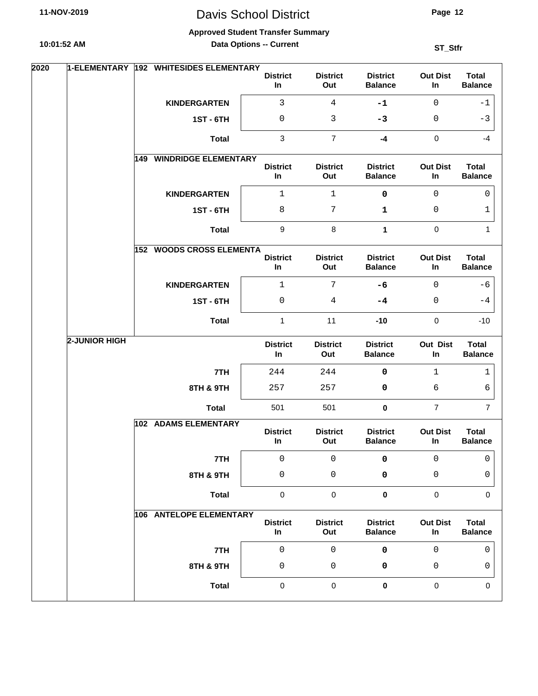# Davis School District

**Page 12**

#### **Approved Student Transfer Summary**

**Data Options -- Current**

| 2020 | 1-ELEMENTARY  | 192 WHITESIDES ELEMENTARY          | <b>District</b>           | <b>District</b>        | <b>District</b>                   | <b>Out Dist</b>       | <b>Total</b>                   |
|------|---------------|------------------------------------|---------------------------|------------------------|-----------------------------------|-----------------------|--------------------------------|
|      |               |                                    | In                        | Out                    | <b>Balance</b>                    | In                    | <b>Balance</b>                 |
|      |               | <b>KINDERGARTEN</b>                | 3                         | $\overline{4}$         | $-1$                              | $\mathbf 0$           | $-1$                           |
|      |               | <b>1ST - 6TH</b>                   | 0                         | 3                      | $-3$                              | 0                     | $-3$                           |
|      |               | <b>Total</b>                       | $\ensuremath{\mathsf{3}}$ | $\overline{7}$         | $-4$                              | $\pmb{0}$             | $-4$                           |
|      |               | <b>WINDRIDGE ELEMENTARY</b><br>149 | <b>District</b><br>In     | <b>District</b><br>Out | <b>District</b><br><b>Balance</b> | <b>Out Dist</b><br>In | <b>Total</b><br><b>Balance</b> |
|      |               | <b>KINDERGARTEN</b>                | $1\,$                     | $\mathbf{1}$           | 0                                 | $\mathbf 0$           | 0                              |
|      |               | <b>1ST - 6TH</b>                   | $\,8\,$                   | $\boldsymbol{7}$       | $\mathbf 1$                       | 0                     | 1                              |
|      |               | <b>Total</b>                       | 9                         | $\bf8$                 | $\mathbf{1}$                      | $\pmb{0}$             | $\mathbf{1}$                   |
|      |               | <b>152 WOODS CROSS ELEMENTA</b>    | <b>District</b><br>In     | <b>District</b><br>Out | <b>District</b><br><b>Balance</b> | <b>Out Dist</b><br>In | <b>Total</b><br><b>Balance</b> |
|      |               | <b>KINDERGARTEN</b>                | $\mathbf{1}$              | $7\phantom{.}$         | $-6$                              | $\Omega$              | -6                             |
|      |               | <b>1ST - 6TH</b>                   | $\mathsf 0$               | 4                      | $-4$                              | 0                     | $-4$                           |
|      |               | <b>Total</b>                       | $\mathbf 1$               | 11                     | $-10$                             | $\pmb{0}$             | $-10$                          |
|      | 2-JUNIOR HIGH |                                    | <b>District</b><br>In     | <b>District</b><br>Out | <b>District</b><br><b>Balance</b> | <b>Out Dist</b><br>In | <b>Total</b><br><b>Balance</b> |
|      |               | 7TH                                | 244                       | 244                    | 0                                 | 1                     | 1                              |
|      |               | 8TH & 9TH                          | 257                       | 257                    | 0                                 | 6                     | 6                              |
|      |               | <b>Total</b>                       | 501                       | 501                    | $\pmb{0}$                         | $\overline{7}$        | $\overline{7}$                 |
|      |               | 102 ADAMS ELEMENTARY               | <b>District</b><br>In     | <b>District</b><br>Out | <b>District</b><br><b>Balance</b> | <b>Out Dist</b><br>In | <b>Total</b><br><b>Balance</b> |
|      |               | 7TH                                | 0                         | 0                      | 0                                 | 0                     | 0                              |
|      |               | 8TH & 9TH                          | 0                         | 0                      | 0                                 | 0                     | 0                              |
|      |               | <b>Total</b>                       | 0                         | $\pmb{0}$              | $\pmb{0}$                         | 0                     | 0                              |
|      |               | 106 ANTELOPE ELEMENTARY            | <b>District</b><br>In     | <b>District</b><br>Out | <b>District</b><br><b>Balance</b> | <b>Out Dist</b><br>In | <b>Total</b><br><b>Balance</b> |
|      |               | 7TH                                | $\mathsf 0$               | $\mathbf 0$            | $\pmb{0}$                         | $\mathbf 0$           | $\mathbf 0$                    |
|      |               | 8TH & 9TH                          | $\mathsf 0$               | $\mathsf 0$            | 0                                 | 0                     | 0                              |
|      |               | <b>Total</b>                       | $\pmb{0}$                 | $\pmb{0}$              | $\pmb{0}$                         | $\pmb{0}$             | $\mathbf 0$                    |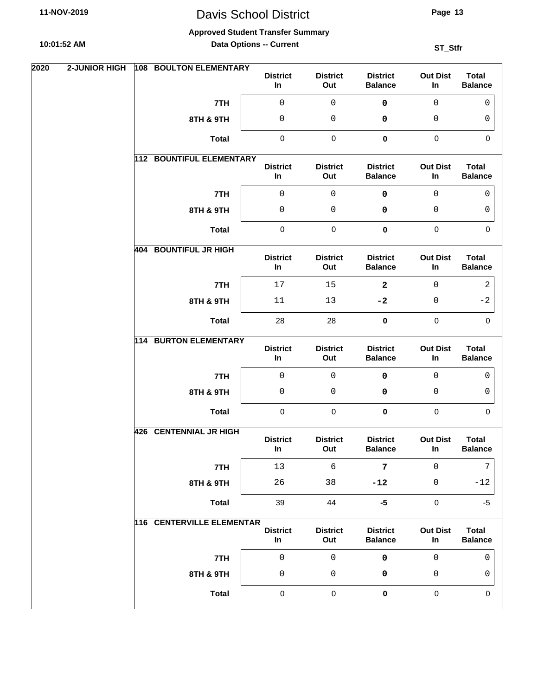**Approved Student Transfer Summary**

**10:01:52 AM**

**Data Options -- Current**

| 2020 | <b>2-JUNIOR HIGH</b> | 108 BOULTON ELEMENTARY          | <b>District</b><br>In | <b>District</b><br>Out | <b>District</b><br><b>Balance</b> | <b>Out Dist</b><br>In | <b>Total</b><br><b>Balance</b> |
|------|----------------------|---------------------------------|-----------------------|------------------------|-----------------------------------|-----------------------|--------------------------------|
|      |                      | 7TH                             | $\mathsf{O}\xspace$   | $\mathsf 0$            | 0                                 | $\mathbf 0$           | $\Omega$                       |
|      |                      | 8TH & 9TH                       | 0                     | $\mathsf{O}$           | 0                                 | 0                     | 0                              |
|      |                      | <b>Total</b>                    | $\pmb{0}$             | $\pmb{0}$              | $\mathbf 0$                       | $\pmb{0}$             | $\mathbf 0$                    |
|      |                      | <b>112 BOUNTIFUL ELEMENTARY</b> | <b>District</b><br>In | <b>District</b><br>Out | <b>District</b><br><b>Balance</b> | <b>Out Dist</b><br>In | <b>Total</b><br><b>Balance</b> |
|      |                      | 7TH                             | $\mathbf 0$           | $\mathsf{O}\xspace$    | $\pmb{0}$                         | $\mathbf{0}$          | $\Omega$                       |
|      |                      | 8TH & 9TH                       | 0                     | 0                      | 0                                 | 0                     | 0                              |
|      |                      | <b>Total</b>                    | $\pmb{0}$             | $\pmb{0}$              | $\mathbf 0$                       | $\mathbf 0$           | $\Omega$                       |
|      |                      | 404 BOUNTIFUL JR HIGH           | <b>District</b><br>In | <b>District</b><br>Out | <b>District</b><br><b>Balance</b> | <b>Out Dist</b><br>In | <b>Total</b><br><b>Balance</b> |
|      |                      | 7TH                             | 17                    | 15                     | $\mathbf{2}$                      | $\mathbf 0$           | $\overline{a}$                 |
|      |                      | 8TH & 9TH                       | 11                    | 13                     | $-2$                              | 0                     | $-2$                           |
|      |                      | <b>Total</b>                    | 28                    | 28                     | $\mathbf 0$                       | $\mathbf 0$           | $\Omega$                       |
|      |                      | <b>114 BURTON ELEMENTARY</b>    | <b>District</b><br>In | <b>District</b><br>Out | <b>District</b><br><b>Balance</b> | <b>Out Dist</b><br>In | <b>Total</b><br><b>Balance</b> |
|      |                      | 7TH                             | $\mathsf 0$           | $\mathsf 0$            | 0                                 | 0                     | $\Omega$                       |
|      |                      | 8TH & 9TH                       | 0                     | 0                      | 0                                 | 0                     | 0                              |
|      |                      | <b>Total</b>                    | $\mathbf 0$           | $\pmb{0}$              | $\pmb{0}$                         | $\pmb{0}$             | $\mathbf 0$                    |
|      |                      | <b>426 CENTENNIAL JR HIGH</b>   | <b>District</b><br>In | <b>District</b><br>Out | <b>District</b><br><b>Balance</b> | <b>Out Dist</b><br>In | <b>Total</b><br><b>Balance</b> |
|      |                      | 7TH                             | 13                    | $\epsilon$             | 7                                 | 0                     | 7                              |
|      |                      | 8TH & 9TH                       | 26                    | 38                     | $-12$                             | 0                     | $-12$                          |
|      |                      | <b>Total</b>                    | 39                    | 44                     | $-5$                              | $\pmb{0}$             | $-5$                           |
|      |                      | 116 CENTERVILLE ELEMENTART      | <b>District</b><br>In | <b>District</b><br>Out | <b>District</b><br><b>Balance</b> | <b>Out Dist</b><br>In | <b>Total</b><br><b>Balance</b> |
|      |                      | 7TH                             | $\mathbf 0$           | $\mathsf{O}\xspace$    | $\pmb{0}$                         | $\mathsf 0$           | $\mathbf 0$                    |
|      |                      | 8TH & 9TH                       | 0                     | $\mathsf 0$            | 0                                 | 0                     | 0                              |
|      |                      | <b>Total</b>                    | $\pmb{0}$             | $\pmb{0}$              | $\pmb{0}$                         | $\pmb{0}$             | 0                              |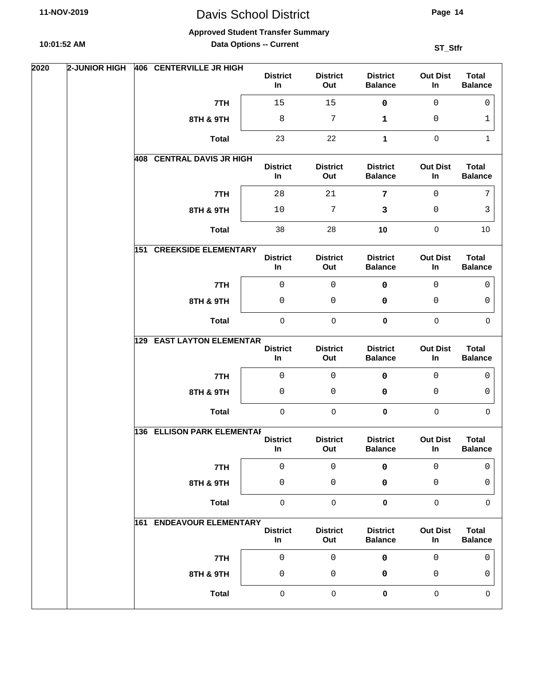**Page 14**

#### **Approved Student Transfer Summary**

**10:01:52 AM**

**Data Options -- Current**

| 2020 | 2-JUNIOR HIGH | 406 CENTERVILLE JR HIGH             | <b>District</b><br>In | <b>District</b><br>Out | <b>District</b><br><b>Balance</b> | <b>Out Dist</b><br>In | <b>Total</b><br><b>Balance</b> |
|------|---------------|-------------------------------------|-----------------------|------------------------|-----------------------------------|-----------------------|--------------------------------|
|      |               | 7TH                                 | 15                    | 15                     | $\pmb{0}$                         | $\mathbf 0$           | $\mathbf 0$                    |
|      |               | 8TH & 9TH                           | 8                     | 7                      | 1                                 | 0                     | 1                              |
|      |               | <b>Total</b>                        | 23                    | 22                     | 1                                 | $\pmb{0}$             | 1                              |
|      |               | 408 CENTRAL DAVIS JR HIGH           | <b>District</b><br>In | <b>District</b><br>Out | <b>District</b><br><b>Balance</b> | <b>Out Dist</b><br>In | <b>Total</b><br><b>Balance</b> |
|      |               | 7TH                                 | 28                    | 21                     | 7                                 | $\mathsf{O}$          | 7                              |
|      |               | 8TH & 9TH                           | $10$                  | 7                      | 3                                 | 0                     | 3                              |
|      |               | <b>Total</b>                        | 38                    | 28                     | 10                                | $\pmb{0}$             | 10                             |
|      |               | <b>151 CREEKSIDE ELEMENTARY</b>     | <b>District</b><br>In | <b>District</b><br>Out | <b>District</b><br><b>Balance</b> | <b>Out Dist</b><br>In | <b>Total</b><br><b>Balance</b> |
|      |               | 7TH                                 | $\mathsf 0$           | $\mathbf 0$            | $\pmb{0}$                         | $\mathbf 0$           | 0                              |
|      |               | 8TH & 9TH                           | 0                     | 0                      | 0                                 | 0                     | 0                              |
|      |               | <b>Total</b>                        | $\pmb{0}$             | $\pmb{0}$              | $\pmb{0}$                         | $\pmb{0}$             | $\mathbf 0$                    |
|      |               | <b>EAST LAYTON ELEMENTAR</b><br>129 | <b>District</b><br>In | <b>District</b><br>Out | <b>District</b><br><b>Balance</b> | <b>Out Dist</b><br>In | <b>Total</b><br><b>Balance</b> |
|      |               | 7TH                                 | $\mathsf{O}\xspace$   | 0                      | 0                                 | $\mathbf 0$           | 0                              |
|      |               | 8TH & 9TH                           | $\mathsf 0$           | 0                      | 0                                 | 0                     | 0                              |
|      |               | <b>Total</b>                        | $\pmb{0}$             | $\pmb{0}$              | 0                                 | $\pmb{0}$             | $\mathbf 0$                    |
|      |               | <b>136 ELLISON PARK ELEMENTAF</b>   |                       |                        |                                   |                       |                                |
|      |               |                                     | <b>District</b><br>In | <b>District</b><br>Out | <b>District</b><br><b>Balance</b> | <b>Out Dist</b><br>In | <b>Total</b><br><b>Balance</b> |
|      |               | 7TH                                 | $\mathsf 0$           | $\mathsf 0$            | $\pmb{0}$                         | $\mathbf 0$           | 0                              |
|      |               | 8TH & 9TH                           | 0                     | 0                      | 0                                 | 0                     | 0                              |
|      |               | <b>Total</b>                        | $\mathsf{O}\xspace$   | $\mathsf{O}\xspace$    | $\pmb{0}$                         | $\pmb{0}$             | 0                              |
|      |               | <b>161 ENDEAVOUR ELEMENTARY</b>     | <b>District</b><br>In | <b>District</b><br>Out | <b>District</b><br><b>Balance</b> | <b>Out Dist</b><br>In | <b>Total</b><br><b>Balance</b> |
|      |               | 7TH                                 | $\mathsf 0$           | $\mathsf 0$            | $\pmb{0}$                         | $\mathbf 0$           | 0                              |
|      |               | 8TH & 9TH                           | 0                     | 0                      | 0                                 | 0                     | 0                              |
|      |               | <b>Total</b>                        | $\pmb{0}$             | $\pmb{0}$              | 0                                 | $\pmb{0}$             | $\mathbf 0$                    |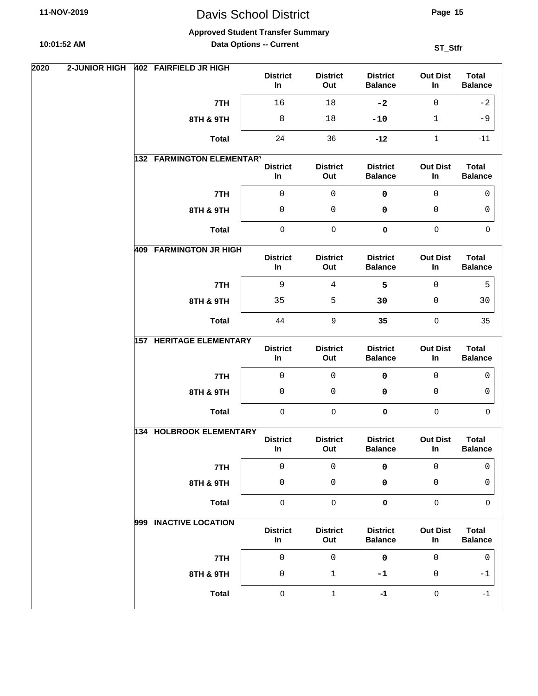**Approved Student Transfer Summary**

**10:01:52 AM**

**Data Options -- Current**

| 2020 | 2-JUNIOR HIGH | 402 FAIRFIELD JR HIGH          | <b>District</b><br>In    | <b>District</b><br>Out | <b>District</b><br><b>Balance</b> | <b>Out Dist</b><br>In | <b>Total</b><br><b>Balance</b> |
|------|---------------|--------------------------------|--------------------------|------------------------|-----------------------------------|-----------------------|--------------------------------|
|      |               | 7TH                            | 16                       | 18                     | $-2$                              | $\mathsf{O}$          | $-2$                           |
|      |               | 8TH & 9TH                      | 8                        | 18                     | $-10$                             | $\mathbf{1}$          | $-9$                           |
|      |               | <b>Total</b>                   | 24                       | 36                     | $-12$                             | 1                     | $-11$                          |
|      |               | 132 FARMINGTON ELEMENTARY      | <b>District</b><br>$\ln$ | <b>District</b><br>Out | <b>District</b><br><b>Balance</b> | <b>Out Dist</b><br>In | <b>Total</b><br><b>Balance</b> |
|      |               | 7TH                            | $\mathsf 0$              | $\mathsf 0$            | 0                                 | 0                     | $\mathbf 0$                    |
|      |               | 8TH & 9TH                      | $\mathsf 0$              | 0                      | 0                                 | 0                     | 0                              |
|      |               | <b>Total</b>                   | $\pmb{0}$                | $\pmb{0}$              | $\pmb{0}$                         | $\pmb{0}$             | $\mathbf 0$                    |
|      |               | <b>409 FARMINGTON JR HIGH</b>  | <b>District</b><br>In    | <b>District</b><br>Out | <b>District</b><br><b>Balance</b> | <b>Out Dist</b><br>In | <b>Total</b><br><b>Balance</b> |
|      |               | 7TH                            | $\mathsf 9$              | $\overline{4}$         | 5                                 | $\mathbf 0$           | 5                              |
|      |               | 8TH & 9TH                      | 35                       | 5                      | 30                                | 0                     | 30                             |
|      |               | <b>Total</b>                   | 44                       | 9                      | 35                                | $\pmb{0}$             | 35                             |
|      |               | <b>157 HERITAGE ELEMENTARY</b> | <b>District</b><br>In    | <b>District</b><br>Out | <b>District</b><br><b>Balance</b> | <b>Out Dist</b><br>In | <b>Total</b><br><b>Balance</b> |
|      |               | 7TH                            | $\mathsf 0$              | 0                      | $\mathbf 0$                       | $\mathbf 0$           | 0                              |
|      |               | 8TH & 9TH                      | $\mathsf 0$              | 0                      | 0                                 | 0                     | 0                              |
|      |               | <b>Total</b>                   | $\pmb{0}$                | $\mathbf 0$            | 0                                 | $\mathbf 0$           | $\mathbf 0$                    |
|      |               | 134 HOLBROOK ELEMENTARY        | <b>District</b><br>In    | <b>District</b><br>Out | <b>District</b><br><b>Balance</b> | <b>Out Dist</b><br>In | <b>Total</b><br><b>Balance</b> |
|      |               | 7TH                            | $\mathsf 0$              | $\mathsf 0$            | 0                                 | $\mathsf 0$           | 0                              |
|      |               | 8TH & 9TH                      | 0                        | $\mathsf 0$            | 0                                 | 0                     | 0                              |
|      |               | <b>Total</b>                   | $\pmb{0}$                | $\pmb{0}$              | $\pmb{0}$                         | $\pmb{0}$             | $\mathbf 0$                    |
|      |               | 999 INACTIVE LOCATION          | <b>District</b><br>In    | <b>District</b><br>Out | <b>District</b><br><b>Balance</b> | <b>Out Dist</b><br>In | <b>Total</b><br><b>Balance</b> |
|      |               | 7TH                            | $\mathsf 0$              | $\mathsf 0$            | $\pmb{0}$                         | $\mathsf 0$           | $\mathbf 0$                    |
|      |               | 8TH & 9TH                      | $\mathsf 0$              | $\mathbf{1}$           | $-1$                              | 0                     | -1                             |
|      |               | <b>Total</b>                   | $\pmb{0}$                | $\mathbf{1}$           | $-1$                              | $\pmb{0}$             | $-1$                           |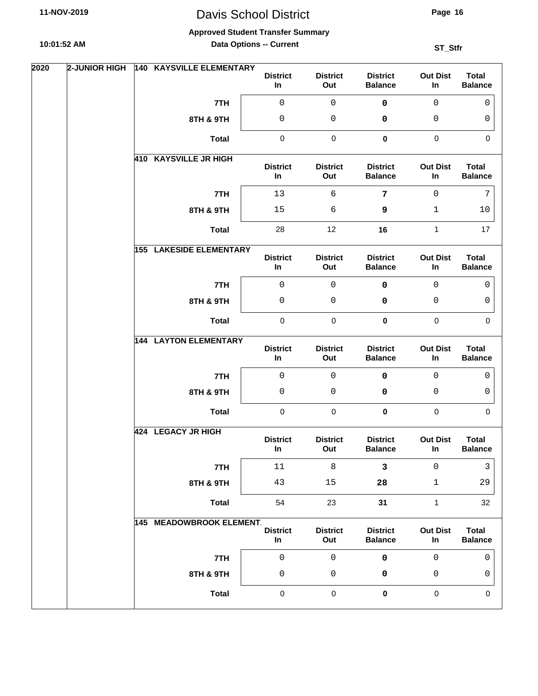**Approved Student Transfer Summary**

**10:01:52 AM**

**Data Options -- Current**

| 2020 | <b>2-JUNIOR HIGH</b> | <b>140 KAYSVILLE ELEMENTARY</b> | <b>District</b><br>In | <b>District</b><br>Out | <b>District</b><br><b>Balance</b> | <b>Out Dist</b><br>In | <b>Total</b><br><b>Balance</b> |
|------|----------------------|---------------------------------|-----------------------|------------------------|-----------------------------------|-----------------------|--------------------------------|
|      |                      | 7TH                             | 0                     | 0                      | 0                                 | $\mathbf{0}$          | 0                              |
|      |                      | 8TH & 9TH                       | 0                     | 0                      | 0                                 | 0                     | 0                              |
|      |                      | <b>Total</b>                    | $\pmb{0}$             | $\pmb{0}$              | $\mathbf 0$                       | $\mathbf 0$           | $\mathbf 0$                    |
|      |                      | 410 KAYSVILLE JR HIGH           | <b>District</b><br>In | <b>District</b><br>Out | <b>District</b><br><b>Balance</b> | <b>Out Dist</b><br>In | <b>Total</b><br><b>Balance</b> |
|      |                      | 7TH                             | 13                    | 6                      | $\overline{7}$                    | $\mathsf{O}$          | 7                              |
|      |                      | 8TH & 9TH                       | 15                    | 6                      | 9                                 | 1                     | 10                             |
|      |                      | <b>Total</b>                    | 28                    | 12                     | 16                                | 1                     | 17                             |
|      |                      | <b>155 LAKESIDE ELEMENTARY</b>  | <b>District</b><br>In | <b>District</b><br>Out | <b>District</b><br><b>Balance</b> | <b>Out Dist</b><br>In | <b>Total</b><br><b>Balance</b> |
|      |                      | 7TH                             | 0                     | 0                      | $\mathbf 0$                       | $\mathsf{O}$          | $\mathbf 0$                    |
|      |                      | 8TH & 9TH                       | 0                     | 0                      | 0                                 | 0                     | 0                              |
|      |                      | <b>Total</b>                    | $\pmb{0}$             | $\pmb{0}$              | $\mathbf 0$                       | $\mathbf 0$           | $\Omega$                       |
|      |                      | <b>144 LAYTON ELEMENTARY</b>    | <b>District</b><br>In | <b>District</b><br>Out | <b>District</b><br><b>Balance</b> | <b>Out Dist</b><br>In | <b>Total</b><br><b>Balance</b> |
|      |                      | 7TH                             | 0                     | 0                      | 0                                 | $\mathbf{0}$          | 0                              |
|      |                      | 8TH & 9TH                       | 0                     | $\mathbf 0$            | 0                                 | 0                     | 0                              |
|      |                      | <b>Total</b>                    | $\mathbf 0$           | $\mathbf 0$            | $\pmb{0}$                         | $\pmb{0}$             | $\mathbf 0$                    |
|      |                      | 424 LEGACY JR HIGH              | <b>District</b><br>In | <b>District</b><br>Out | <b>District</b><br><b>Balance</b> | <b>Out Dist</b><br>In | <b>Total</b><br><b>Balance</b> |
|      |                      | 7TH                             | $11\,$                | 8                      | 3                                 | 0                     | 3                              |
|      |                      | 8TH & 9TH                       | 43                    | $15$                   | 28                                | $\mathbf{1}$          | 29                             |
|      |                      | <b>Total</b>                    | 54                    | 23                     | 31                                | $\mathbf{1}$          | 32                             |
|      |                      | <b>145 MEADOWBROOK ELEMENT.</b> | <b>District</b><br>In | <b>District</b><br>Out | <b>District</b><br><b>Balance</b> | <b>Out Dist</b><br>In | <b>Total</b><br><b>Balance</b> |
|      |                      | 7TH                             | $\mathsf{O}\xspace$   | $\mathbf 0$            | $\pmb{0}$                         | $\mathsf 0$           | $\mathbf 0$                    |
|      |                      | 8TH & 9TH                       | 0                     | $\mathsf 0$            | 0                                 | 0                     | 0                              |
|      |                      | <b>Total</b>                    | $\pmb{0}$             | $\pmb{0}$              | $\pmb{0}$                         | 0                     | 0                              |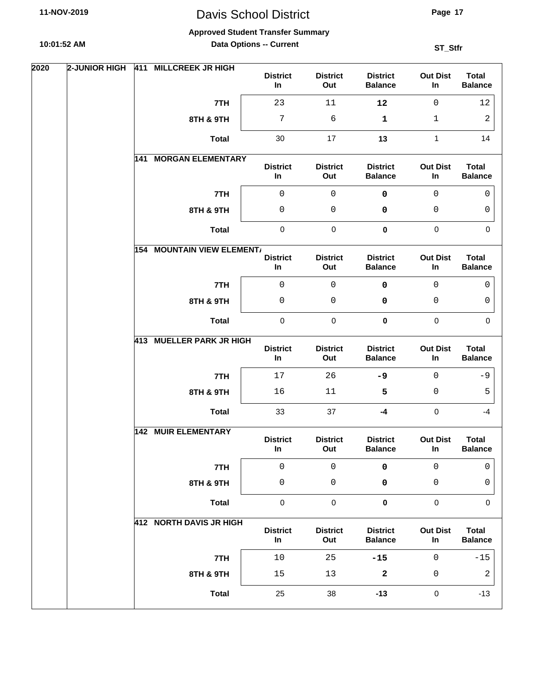**Approved Student Transfer Summary**

**10:01:52 AM**

**Data Options -- Current**

| 2020 | 2-JUNIOR HIGH |     | 411 MILLCREEK JR HIGH             | <b>District</b><br>In | <b>District</b><br>Out | <b>District</b><br><b>Balance</b> | <b>Out Dist</b><br>In | <b>Total</b><br><b>Balance</b> |
|------|---------------|-----|-----------------------------------|-----------------------|------------------------|-----------------------------------|-----------------------|--------------------------------|
|      |               |     | 7TH                               | 23                    | 11                     | 12                                | $\mathbf 0$           | 12                             |
|      |               |     | 8TH & 9TH                         | $7\phantom{.}$        | 6                      | 1                                 | $\mathbf{1}$          | 2                              |
|      |               |     | <b>Total</b>                      | 30                    | 17                     | 13                                | $\mathbf{1}$          | 14                             |
|      |               | 141 | <b>MORGAN ELEMENTARY</b>          | <b>District</b><br>In | <b>District</b><br>Out | <b>District</b><br><b>Balance</b> | <b>Out Dist</b><br>In | <b>Total</b><br><b>Balance</b> |
|      |               |     | 7TH                               | $\mathsf 0$           | $\mathsf 0$            | 0                                 | $\mathsf{O}$          | $\mathbf{0}$                   |
|      |               |     | 8TH & 9TH                         | $\mathsf 0$           | 0                      | 0                                 | 0                     | 0                              |
|      |               |     | <b>Total</b>                      | $\pmb{0}$             | $\pmb{0}$              | $\pmb{0}$                         | $\pmb{0}$             | $\mathbf 0$                    |
|      |               |     | <b>154 MOUNTAIN VIEW ELEMENT/</b> | <b>District</b><br>In | <b>District</b><br>Out | <b>District</b><br><b>Balance</b> | <b>Out Dist</b><br>In | <b>Total</b><br><b>Balance</b> |
|      |               |     | 7TH                               | $\mathsf 0$           | $\mathsf 0$            | $\mathbf 0$                       | $\mathbf 0$           | $\mathbf{0}$                   |
|      |               |     | 8TH & 9TH                         | 0                     | 0                      | 0                                 | 0                     | 0                              |
|      |               |     | <b>Total</b>                      | $\pmb{0}$             | $\pmb{0}$              | 0                                 | $\pmb{0}$             | $\mathbf 0$                    |
|      |               |     | 413 MUELLER PARK JR HIGH          | <b>District</b><br>In | <b>District</b><br>Out | <b>District</b><br><b>Balance</b> | <b>Out Dist</b><br>In | <b>Total</b><br><b>Balance</b> |
|      |               |     | 7TH                               | 17                    | 26                     | $-9$                              | $\mathbf 0$           | $-9$                           |
|      |               |     | 8TH & 9TH                         | 16                    | $11\,$                 | 5                                 | 0                     | 5                              |
|      |               |     | <b>Total</b>                      | 33                    | 37                     | $-4$                              | $\pmb{0}$             | $-4$                           |
|      |               |     | <b>142 MUIR ELEMENTARY</b>        | <b>District</b><br>In | <b>District</b><br>Out | <b>District</b><br><b>Balance</b> | <b>Out Dist</b><br>In | <b>Total</b><br><b>Balance</b> |
|      |               |     | 7TH                               | $\mathsf 0$           | $\mathsf 0$            | $\pmb{0}$                         | $\mathsf 0$           | $\mathbf{0}$                   |
|      |               |     | 8TH & 9TH                         | $\mathsf 0$           | $\mathsf{O}\xspace$    | 0                                 | 0                     | 0                              |
|      |               |     | <b>Total</b>                      | $\pmb{0}$             | $\pmb{0}$              | $\pmb{0}$                         | $\pmb{0}$             | $\mathbf 0$                    |
|      |               |     | 412 NORTH DAVIS JR HIGH           | <b>District</b><br>In | <b>District</b><br>Out | <b>District</b><br><b>Balance</b> | <b>Out Dist</b><br>In | <b>Total</b><br><b>Balance</b> |
|      |               |     | 7TH                               | $10$                  | 25                     | $-15$                             | $\mathsf{O}$          | $-15$                          |
|      |               |     | 8TH & 9TH                         | 15                    | 13                     | 2                                 | 0                     | $\sqrt{2}$                     |
|      |               |     | <b>Total</b>                      | 25                    | 38                     | $-13$                             | $\pmb{0}$             | $-13$                          |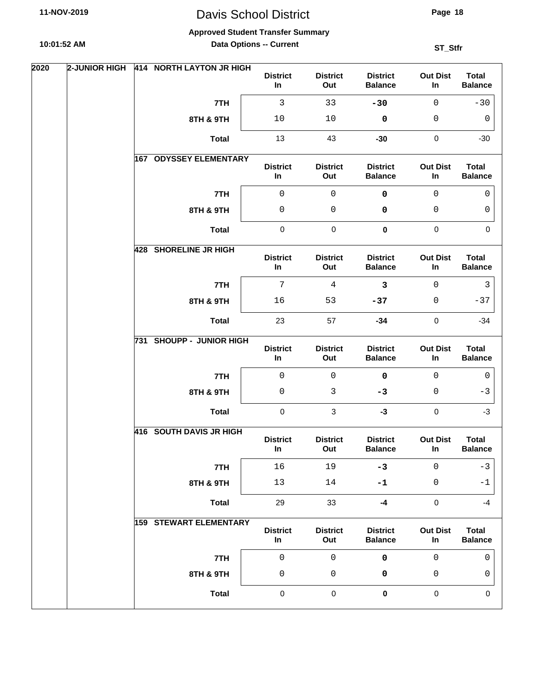**Approved Student Transfer Summary**

**10:01:52 AM**

**Data Options -- Current**

| 2020 | <b>2-JUNIOR HIGH</b> | 414 NORTH LAYTON JR HIGH      | <b>District</b><br>In    | <b>District</b><br>Out | <b>District</b><br><b>Balance</b> | <b>Out Dist</b><br>In | <b>Total</b><br><b>Balance</b> |  |
|------|----------------------|-------------------------------|--------------------------|------------------------|-----------------------------------|-----------------------|--------------------------------|--|
|      |                      | 7TH                           | 3                        | 33                     | $-30$                             | $\mathbf 0$           | $-30$                          |  |
|      |                      | 8TH & 9TH                     | 10                       | $10$                   | $\pmb{0}$                         | 0                     | 0                              |  |
|      |                      | <b>Total</b>                  | 13                       | 43                     | $-30$                             | $\pmb{0}$             | $-30$                          |  |
|      |                      | 167 ODYSSEY ELEMENTARY        | <b>District</b><br>In    | <b>District</b><br>Out | <b>District</b><br><b>Balance</b> | <b>Out Dist</b><br>In | <b>Total</b><br><b>Balance</b> |  |
|      |                      | 7TH                           | $\mathbf 0$              | $\mathsf{O}\xspace$    | $\mathbf 0$                       | $\mathbf 0$           | $\mathbf 0$                    |  |
|      |                      | 8TH & 9TH                     | 0                        | 0                      | 0                                 | 0                     | 0                              |  |
|      |                      | <b>Total</b>                  | $\pmb{0}$                | $\pmb{0}$              | $\pmb{0}$                         | $\pmb{0}$             | $\Omega$                       |  |
|      |                      | 428 SHORELINE JR HIGH         | <b>District</b><br>In    | <b>District</b><br>Out | <b>District</b><br><b>Balance</b> | <b>Out Dist</b><br>In | <b>Total</b><br><b>Balance</b> |  |
|      |                      | 7TH                           | $\overline{7}$           | $\overline{4}$         | $\mathbf{3}$                      | $\mathbf 0$           | $\mathbf{3}$                   |  |
|      |                      | 8TH & 9TH                     | 16                       | 53                     | $-37$                             | 0                     | $-37$                          |  |
|      |                      | <b>Total</b>                  | 23                       | 57                     | $-34$                             | $\pmb{0}$             | $-34$                          |  |
|      |                      | 731 SHOUPP - JUNIOR HIGH      | <b>District</b><br>In    | <b>District</b><br>Out | <b>District</b><br><b>Balance</b> | <b>Out Dist</b><br>In | <b>Total</b><br><b>Balance</b> |  |
|      |                      | 7TH                           | $\mathsf{O}\xspace$      | $\mathbf 0$            | $\mathbf 0$                       | $\mathbf{0}$          | 0                              |  |
|      |                      | 8TH & 9TH                     | $\mathsf 0$              | $\mathbf{3}$           | $-3$                              | 0                     | $-3$                           |  |
|      |                      | <b>Total</b>                  | $\mathbf 0$              | $\sqrt{3}$             | $-3$                              | $\pmb{0}$             | $-3$                           |  |
|      |                      | 416 SOUTH DAVIS JR HIGH       | <b>District</b><br>$\ln$ | <b>District</b><br>Out | <b>District</b><br><b>Balance</b> | <b>Out Dist</b><br>In | <b>Total</b><br><b>Balance</b> |  |
|      |                      | 7TH                           | 16                       | 19                     | $-3$                              | 0                     | $-3$                           |  |
|      |                      | 8TH & 9TH                     | 13                       | 14                     | $-1$                              | 0                     | $-1$                           |  |
|      |                      | <b>Total</b>                  | 29                       | 33                     | $-4$                              | $\pmb{0}$             | $-4$                           |  |
|      |                      | <b>159 STEWART ELEMENTARY</b> | <b>District</b><br>In    | <b>District</b><br>Out | <b>District</b><br><b>Balance</b> | <b>Out Dist</b><br>In | <b>Total</b><br><b>Balance</b> |  |
|      |                      | 7TH                           | $\mathbf 0$              | $\mathsf{O}\xspace$    | $\pmb{0}$                         | $\mathsf 0$           | $\mathbf 0$                    |  |
|      |                      | 8TH & 9TH                     | $\mathsf{O}\xspace$      | 0                      | 0                                 | 0                     | 0                              |  |
|      |                      |                               |                          |                        |                                   |                       |                                |  |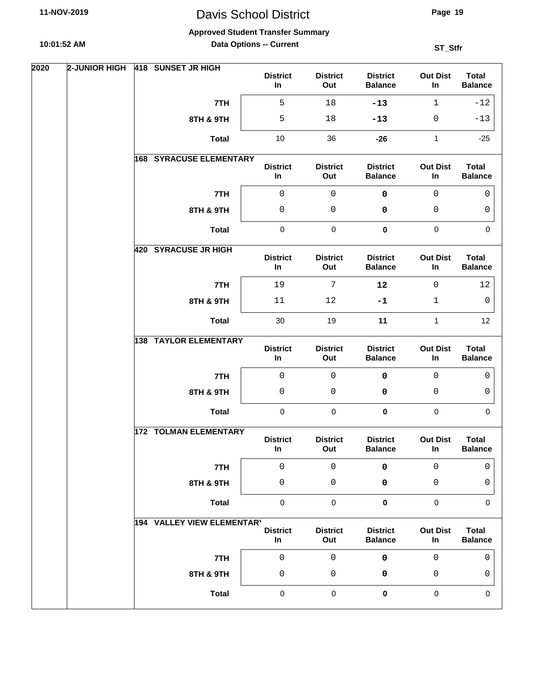**Approved Student Transfer Summary**

**10:01:52 AM**

**Data Options -- Current**

| 2020 | 2-JUNIOR HIGH | 418 SUNSET JR HIGH             | <b>District</b><br>In    | <b>District</b><br>Out | <b>District</b><br><b>Balance</b> | <b>Out Dist</b><br>In | <b>Total</b><br><b>Balance</b> |
|------|---------------|--------------------------------|--------------------------|------------------------|-----------------------------------|-----------------------|--------------------------------|
|      |               | 7TH                            | 5                        | 18                     | $-13$                             | $\mathbf{1}$          | $-12$                          |
|      |               | 8TH & 9TH                      | 5                        | 18                     | $-13$                             | 0                     | $-13$                          |
|      |               | <b>Total</b>                   | 10                       | 36                     | $-26$                             | 1                     | $-25$                          |
|      |               | <b>168 SYRACUSE ELEMENTARY</b> | <b>District</b><br>In    | <b>District</b><br>Out | <b>District</b><br><b>Balance</b> | <b>Out Dist</b><br>In | <b>Total</b><br><b>Balance</b> |
|      |               | 7TH                            | $\mathsf 0$              | $\mathsf 0$            | 0                                 | $\mathsf 0$           | 0                              |
|      |               | 8TH & 9TH                      | $\mathsf 0$              | 0                      | 0                                 | 0                     | 0                              |
|      |               | <b>Total</b>                   | $\pmb{0}$                | $\pmb{0}$              | $\pmb{0}$                         | $\pmb{0}$             | $\mathbf 0$                    |
|      |               | 420 SYRACUSE JR HIGH           | <b>District</b><br>In    | <b>District</b><br>Out | <b>District</b><br><b>Balance</b> | <b>Out Dist</b><br>In | <b>Total</b><br><b>Balance</b> |
|      |               | 7TH                            | 19                       | $7\phantom{.0}$        | 12                                | $\mathbf 0$           | 12                             |
|      |               | 8TH & 9TH                      | 11                       | 12                     | $-1$                              | 1                     | 0                              |
|      |               | <b>Total</b>                   | 30                       | 19                     | 11                                | $\mathbf{1}$          | 12                             |
|      |               | <b>138 TAYLOR ELEMENTARY</b>   | <b>District</b><br>In    | <b>District</b><br>Out | <b>District</b><br><b>Balance</b> | <b>Out Dist</b><br>In | <b>Total</b><br><b>Balance</b> |
|      |               | 7TH                            | $\mathsf 0$              | 0                      | $\mathbf 0$                       | $\mathbf 0$           | 0                              |
|      |               | 8TH & 9TH                      | $\mathsf 0$              | 0                      | 0                                 | 0                     | 0                              |
|      |               | <b>Total</b>                   | 0                        | $\mathbf 0$            | 0                                 | $\mathbf 0$           | $\mathbf 0$                    |
|      |               | <b>172 TOLMAN ELEMENTARY</b>   | <b>District</b><br>In    | <b>District</b><br>Out | <b>District</b><br><b>Balance</b> | <b>Out Dist</b><br>In | <b>Total</b><br><b>Balance</b> |
|      |               | 7TH                            | $\mathsf 0$              | $\mathsf 0$            | 0                                 | 0                     | 0                              |
|      |               | 8TH & 9TH                      | 0                        | 0                      | 0                                 | 0                     | 0                              |
|      |               | <b>Total</b>                   | $\pmb{0}$                | $\pmb{0}$              | $\pmb{0}$                         | $\pmb{0}$             | 0                              |
|      |               | 194 VALLEY VIEW ELEMENTARY     | <b>District</b><br>$\ln$ | <b>District</b><br>Out | <b>District</b><br><b>Balance</b> | <b>Out Dist</b><br>In | <b>Total</b><br><b>Balance</b> |
|      |               | 7TH                            | $\mathsf 0$              | $\mathsf 0$            | 0                                 | $\mathsf 0$           | $\mathbf 0$                    |
|      |               | 8TH & 9TH                      | $\mathsf 0$              | 0                      | 0                                 | 0                     | 0                              |
|      |               | <b>Total</b>                   | $\pmb{0}$                | $\pmb{0}$              | 0                                 | $\pmb{0}$             | 0                              |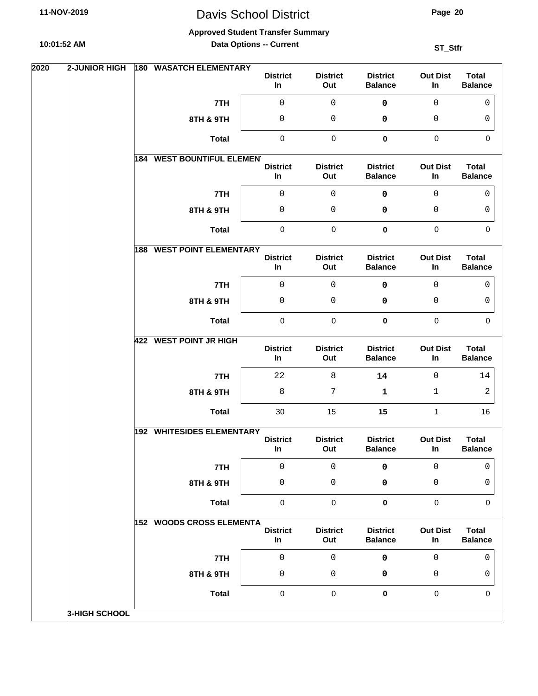**Page 20**

**Approved Student Transfer Summary**

**10:01:52 AM**

**Data Options -- Current**

| 2020 | <b>2-JUNIOR HIGH</b> | 180 WASATCH ELEMENTARY            | <b>District</b><br>In    | <b>District</b><br>Out | <b>District</b><br><b>Balance</b> | <b>Out Dist</b><br>In | <b>Total</b><br><b>Balance</b> |
|------|----------------------|-----------------------------------|--------------------------|------------------------|-----------------------------------|-----------------------|--------------------------------|
|      |                      | 7TH                               | $\mathsf 0$              | $\mathsf 0$            | $\pmb{0}$                         | $\mathbf 0$           | $\mathbf{0}$                   |
|      |                      | 8TH & 9TH                         | 0                        | 0                      | 0                                 | 0                     | 0                              |
|      |                      | <b>Total</b>                      | $\pmb{0}$                | $\pmb{0}$              | $\pmb{0}$                         | $\pmb{0}$             | $\mathbf 0$                    |
|      |                      | <b>184 WEST BOUNTIFUL ELEMENT</b> | <b>District</b><br>In    | <b>District</b><br>Out | <b>District</b><br><b>Balance</b> | <b>Out Dist</b><br>In | <b>Total</b><br><b>Balance</b> |
|      |                      | 7TH                               | $\mathsf 0$              | $\mathsf 0$            | 0                                 | 0                     | 0                              |
|      |                      | 8TH & 9TH                         | $\mathsf 0$              | 0                      | 0                                 | 0                     | 0                              |
|      |                      | <b>Total</b>                      | $\pmb{0}$                | $\pmb{0}$              | $\pmb{0}$                         | $\pmb{0}$             | $\mathbf 0$                    |
|      |                      | <b>188 WEST POINT ELEMENTARY</b>  | <b>District</b><br>In    | <b>District</b><br>Out | <b>District</b><br><b>Balance</b> | <b>Out Dist</b><br>In | <b>Total</b><br><b>Balance</b> |
|      |                      | 7TH                               | $\mathsf 0$              | $\mathsf 0$            | $\mathbf 0$                       | $\mathbf 0$           | $\mathbf{0}$                   |
|      |                      | 8TH & 9TH                         | 0                        | 0                      | 0                                 | 0                     | 0                              |
|      |                      | <b>Total</b>                      | $\pmb{0}$                | $\pmb{0}$              | 0                                 | $\pmb{0}$             | $\mathbf 0$                    |
|      |                      | <b>422 WEST POINT JR HIGH</b>     | <b>District</b><br>In    | <b>District</b><br>Out | <b>District</b><br><b>Balance</b> | <b>Out Dist</b><br>In | <b>Total</b><br><b>Balance</b> |
|      |                      | 7TH                               | 22                       | 8                      | 14                                | $\mathbf 0$           | 14                             |
|      |                      | 8TH & 9TH                         | $\,8\,$                  | 7                      | 1                                 | 1                     | 2                              |
|      |                      | <b>Total</b>                      | 30                       | 15                     | 15                                | $\mathbf{1}$          | 16                             |
|      |                      | 192 WHITESIDES ELEMENTARY         | <b>District</b><br>In    | <b>District</b><br>Out | <b>District</b><br><b>Balance</b> | <b>Out Dist</b><br>In | <b>Total</b><br><b>Balance</b> |
|      |                      | 7TH                               | $\mathsf 0$              | $\mathsf 0$            | 0                                 | 0                     | 0                              |
|      |                      | 8TH & 9TH                         | 0                        | 0                      | 0                                 | 0                     | 0                              |
|      |                      | <b>Total</b>                      | $\pmb{0}$                | $\pmb{0}$              | $\pmb{0}$                         | $\pmb{0}$             | 0                              |
|      |                      | <b>152 WOODS CROSS ELEMENTA</b>   | <b>District</b><br>$\ln$ | <b>District</b><br>Out | <b>District</b><br><b>Balance</b> | <b>Out Dist</b><br>In | <b>Total</b><br><b>Balance</b> |
|      |                      | 7TH                               | $\mathsf 0$              | $\mathsf 0$            | 0                                 | 0                     | $\mathbf 0$                    |
|      |                      | 8TH & 9TH                         | $\mathsf 0$              | 0                      | 0                                 | 0                     | 0                              |
|      |                      | <b>Total</b>                      | 0                        | $\pmb{0}$              | 0                                 | $\pmb{0}$             | 0                              |
|      | <b>3-HIGH SCHOOL</b> |                                   |                          |                        |                                   |                       |                                |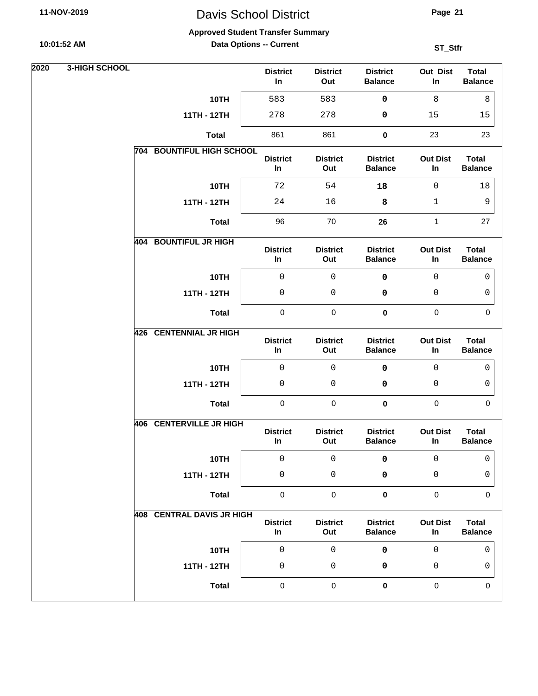# Davis School District

**Page 21**

#### **Approved Student Transfer Summary**

**Data Options -- Current**

| 2020 | <b>3-HIGH SCHOOL</b> |                           | <b>District</b><br>In | <b>District</b><br>Out | <b>District</b><br><b>Balance</b> | Out Dist<br>In        | <b>Total</b><br><b>Balance</b> |
|------|----------------------|---------------------------|-----------------------|------------------------|-----------------------------------|-----------------------|--------------------------------|
|      |                      | 10TH                      | 583                   | 583                    | 0                                 | 8                     | 8                              |
|      |                      | 11TH - 12TH               | 278                   | 278                    | 0                                 | 15                    | 15                             |
|      |                      | <b>Total</b>              | 861                   | 861                    | $\pmb{0}$                         | 23                    | 23                             |
|      |                      | 704 BOUNTIFUL HIGH SCHOOL | <b>District</b><br>In | <b>District</b><br>Out | <b>District</b><br><b>Balance</b> | <b>Out Dist</b><br>In | <b>Total</b><br><b>Balance</b> |
|      |                      | 10TH                      | 72                    | 54                     | 18                                | $\mathsf 0$           | 18                             |
|      |                      | 11TH - 12TH               | 24                    | 16                     | 8                                 | $\mathbf{1}$          | 9                              |
|      |                      | <b>Total</b>              | 96                    | 70                     | 26                                | $\mathbf{1}$          | 27                             |
|      | 404                  | <b>BOUNTIFUL JR HIGH</b>  | <b>District</b><br>In | <b>District</b><br>Out | <b>District</b><br><b>Balance</b> | <b>Out Dist</b><br>In | <b>Total</b><br><b>Balance</b> |
|      |                      | 10TH                      | $\mathsf 0$           | $\mathsf 0$            | 0                                 | $\mathsf 0$           | 0                              |
|      |                      | 11TH - 12TH               | $\mathsf 0$           | $\mathsf{O}\xspace$    | 0                                 | 0                     | 0                              |
|      |                      | <b>Total</b>              | $\pmb{0}$             | $\pmb{0}$              | $\pmb{0}$                         | $\pmb{0}$             | $\pmb{0}$                      |
|      |                      | 426 CENTENNIAL JR HIGH    | <b>District</b><br>In | <b>District</b><br>Out | <b>District</b><br><b>Balance</b> | <b>Out Dist</b><br>In | <b>Total</b><br><b>Balance</b> |
|      |                      | 10TH                      | $\mathsf 0$           | $\mathbf 0$            | $\pmb{0}$                         | $\mathbf 0$           | 0                              |
|      |                      | 11TH - 12TH               | $\mathsf{O}\xspace$   | 0                      | 0                                 | 0                     | 0                              |
|      |                      | <b>Total</b>              | $\pmb{0}$             | $\pmb{0}$              | $\pmb{0}$                         | $\pmb{0}$             | $\mathbf 0$                    |
|      |                      | 406 CENTERVILLE JR HIGH   | <b>District</b><br>In | <b>District</b><br>Out | <b>District</b><br><b>Balance</b> | <b>Out Dist</b><br>In | <b>Total</b><br><b>Balance</b> |
|      |                      | 10TH                      | $\mathsf 0$           | 0                      | 0                                 | 0                     | 0                              |
|      |                      | 11TH - 12TH               | 0                     | 0                      | 0                                 | 0                     | 0                              |
|      |                      | <b>Total</b>              | $\pmb{0}$             | $\pmb{0}$              | 0                                 | $\mathbf 0$           | $\Omega$                       |
|      |                      | 408 CENTRAL DAVIS JR HIGH | <b>District</b><br>In | <b>District</b><br>Out | <b>District</b><br><b>Balance</b> | <b>Out Dist</b><br>In | <b>Total</b><br><b>Balance</b> |
|      |                      | 10TH                      | $\mathsf 0$           | $\mathsf 0$            | 0                                 | $\mathbf 0$           | $\mathbf 0$                    |
|      |                      | 11TH - 12TH               | 0                     | 0                      | 0                                 | 0                     | 0                              |
|      |                      | <b>Total</b>              | $\pmb{0}$             | $\pmb{0}$              | $\pmb{0}$                         | $\pmb{0}$             | $\mathbf 0$                    |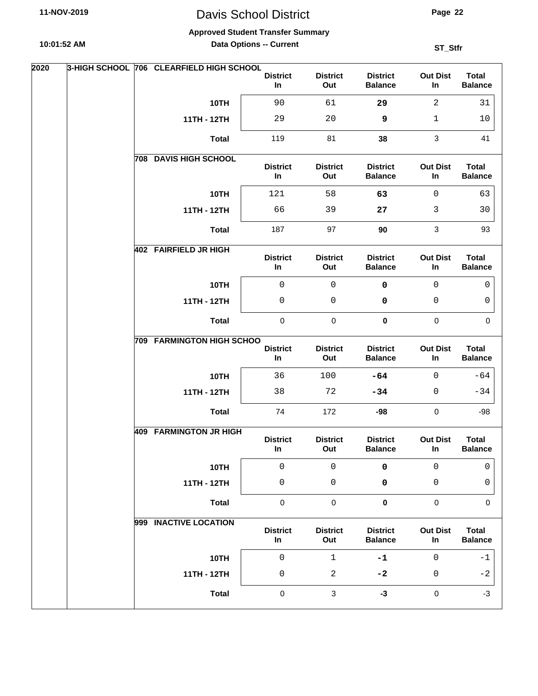#### **Approved Student Transfer Summary**

**10:01:52 AM**

**Data Options -- Current**

| In<br>Out<br><b>Balance</b><br><b>Balance</b><br>In<br>10TH<br>90<br>29<br>$\overline{a}$<br>31<br>61<br>11TH - 12TH<br>29<br>20<br>9<br>$\mathbf{1}$<br>10<br>119<br>$\mathbf{3}$<br><b>Total</b><br>81<br>41<br>38<br><b>DAVIS HIGH SCHOOL</b><br>708<br><b>District</b><br><b>District</b><br><b>District</b><br><b>Out Dist</b><br><b>Total</b><br>In<br>Out<br><b>Balance</b><br>In<br><b>Balance</b><br>10TH<br>$\mathsf{O}$<br>121<br>58<br>63<br>63<br>11TH - 12TH<br>66<br>3<br>39<br>27<br>30<br>$\mathsf 3$<br>187<br>97<br>90<br>93<br><b>Total</b><br>402 FAIRFIELD JR HIGH<br><b>Out Dist</b><br><b>Total</b><br><b>District</b><br><b>District</b><br><b>District</b><br>In<br>Out<br><b>Balance</b><br>In<br><b>Balance</b><br>$\mathbf 0$<br>$\mathbf 0$<br>10TH<br>0<br>$\mathbf 0$<br>0<br>0<br>0<br>0<br>11TH - 12TH<br>0<br>0<br>$\pmb{0}$<br>$\pmb{0}$<br>$\pmb{0}$<br>$\pmb{0}$<br>$\mathbf 0$<br><b>Total</b><br><b>709 FARMINGTON HIGH SCHOO</b><br><b>District</b><br><b>District</b><br><b>Total</b><br><b>District</b><br><b>Out Dist</b><br>In<br>Out<br><b>Balance</b><br>In<br><b>Balance</b><br>10TH<br>$\mathbf 0$<br>$-64$<br>36<br>100<br>$-64$<br>11TH - 12TH<br>38<br>72<br>$\mathbf{0}$<br>$-34$<br>$-34$<br>172<br>$\pmb{0}$<br><b>Total</b><br>74<br>$-98$<br>$-98$<br><b>409 FARMINGTON JR HIGH</b><br><b>District</b><br><b>District</b><br><b>District</b><br><b>Out Dist</b><br><b>Total</b><br>In<br>Out<br><b>Balance</b><br>In<br><b>Balance</b><br>$\mathsf{O}\xspace$<br>10TH<br>$\mathsf 0$<br>0<br>$\mathsf 0$<br>0<br>11TH - 12TH<br>$\mathsf{O}\xspace$<br>0<br>0<br>0<br>0<br><b>Total</b><br>$\pmb{0}$<br>$\pmb{0}$<br>$\pmb{0}$<br>$\pmb{0}$<br>$\mathbf 0$<br>999 INACTIVE LOCATION<br><b>District</b><br><b>Out Dist</b><br><b>Total</b><br><b>District</b><br><b>District</b><br>Out<br><b>Balance</b><br><b>Balance</b><br>In<br>In<br>10TH<br>$\mathsf 0$<br>$1\,$<br>$-1$<br>$\mathsf{O}$<br>-1<br>$\overline{a}$<br>11TH - 12TH<br>$\mathsf 0$<br>$\mathbf{0}$<br>$-2$<br>$-2$<br>$\mathbf{3}$<br>$\pmb{0}$<br>$\pmb{0}$<br>$-3$<br><b>Total</b><br>$-3$ | 2020 |  | 3-HIGH SCHOOL 706 CLEARFIELD HIGH SCHOOL |                 |                 |                 |                 |              |
|-------------------------------------------------------------------------------------------------------------------------------------------------------------------------------------------------------------------------------------------------------------------------------------------------------------------------------------------------------------------------------------------------------------------------------------------------------------------------------------------------------------------------------------------------------------------------------------------------------------------------------------------------------------------------------------------------------------------------------------------------------------------------------------------------------------------------------------------------------------------------------------------------------------------------------------------------------------------------------------------------------------------------------------------------------------------------------------------------------------------------------------------------------------------------------------------------------------------------------------------------------------------------------------------------------------------------------------------------------------------------------------------------------------------------------------------------------------------------------------------------------------------------------------------------------------------------------------------------------------------------------------------------------------------------------------------------------------------------------------------------------------------------------------------------------------------------------------------------------------------------------------------------------------------------------------------------------------------------------------------------------------------------------------------------------------------------------------------------------------------------|------|--|------------------------------------------|-----------------|-----------------|-----------------|-----------------|--------------|
|                                                                                                                                                                                                                                                                                                                                                                                                                                                                                                                                                                                                                                                                                                                                                                                                                                                                                                                                                                                                                                                                                                                                                                                                                                                                                                                                                                                                                                                                                                                                                                                                                                                                                                                                                                                                                                                                                                                                                                                                                                                                                                                         |      |  |                                          | <b>District</b> | <b>District</b> | <b>District</b> | <b>Out Dist</b> | <b>Total</b> |
|                                                                                                                                                                                                                                                                                                                                                                                                                                                                                                                                                                                                                                                                                                                                                                                                                                                                                                                                                                                                                                                                                                                                                                                                                                                                                                                                                                                                                                                                                                                                                                                                                                                                                                                                                                                                                                                                                                                                                                                                                                                                                                                         |      |  |                                          |                 |                 |                 |                 |              |
|                                                                                                                                                                                                                                                                                                                                                                                                                                                                                                                                                                                                                                                                                                                                                                                                                                                                                                                                                                                                                                                                                                                                                                                                                                                                                                                                                                                                                                                                                                                                                                                                                                                                                                                                                                                                                                                                                                                                                                                                                                                                                                                         |      |  |                                          |                 |                 |                 |                 |              |
|                                                                                                                                                                                                                                                                                                                                                                                                                                                                                                                                                                                                                                                                                                                                                                                                                                                                                                                                                                                                                                                                                                                                                                                                                                                                                                                                                                                                                                                                                                                                                                                                                                                                                                                                                                                                                                                                                                                                                                                                                                                                                                                         |      |  |                                          |                 |                 |                 |                 |              |
|                                                                                                                                                                                                                                                                                                                                                                                                                                                                                                                                                                                                                                                                                                                                                                                                                                                                                                                                                                                                                                                                                                                                                                                                                                                                                                                                                                                                                                                                                                                                                                                                                                                                                                                                                                                                                                                                                                                                                                                                                                                                                                                         |      |  |                                          |                 |                 |                 |                 |              |
|                                                                                                                                                                                                                                                                                                                                                                                                                                                                                                                                                                                                                                                                                                                                                                                                                                                                                                                                                                                                                                                                                                                                                                                                                                                                                                                                                                                                                                                                                                                                                                                                                                                                                                                                                                                                                                                                                                                                                                                                                                                                                                                         |      |  |                                          |                 |                 |                 |                 |              |
|                                                                                                                                                                                                                                                                                                                                                                                                                                                                                                                                                                                                                                                                                                                                                                                                                                                                                                                                                                                                                                                                                                                                                                                                                                                                                                                                                                                                                                                                                                                                                                                                                                                                                                                                                                                                                                                                                                                                                                                                                                                                                                                         |      |  |                                          |                 |                 |                 |                 |              |
|                                                                                                                                                                                                                                                                                                                                                                                                                                                                                                                                                                                                                                                                                                                                                                                                                                                                                                                                                                                                                                                                                                                                                                                                                                                                                                                                                                                                                                                                                                                                                                                                                                                                                                                                                                                                                                                                                                                                                                                                                                                                                                                         |      |  |                                          |                 |                 |                 |                 |              |
|                                                                                                                                                                                                                                                                                                                                                                                                                                                                                                                                                                                                                                                                                                                                                                                                                                                                                                                                                                                                                                                                                                                                                                                                                                                                                                                                                                                                                                                                                                                                                                                                                                                                                                                                                                                                                                                                                                                                                                                                                                                                                                                         |      |  |                                          |                 |                 |                 |                 |              |
|                                                                                                                                                                                                                                                                                                                                                                                                                                                                                                                                                                                                                                                                                                                                                                                                                                                                                                                                                                                                                                                                                                                                                                                                                                                                                                                                                                                                                                                                                                                                                                                                                                                                                                                                                                                                                                                                                                                                                                                                                                                                                                                         |      |  |                                          |                 |                 |                 |                 |              |
|                                                                                                                                                                                                                                                                                                                                                                                                                                                                                                                                                                                                                                                                                                                                                                                                                                                                                                                                                                                                                                                                                                                                                                                                                                                                                                                                                                                                                                                                                                                                                                                                                                                                                                                                                                                                                                                                                                                                                                                                                                                                                                                         |      |  |                                          |                 |                 |                 |                 |              |
|                                                                                                                                                                                                                                                                                                                                                                                                                                                                                                                                                                                                                                                                                                                                                                                                                                                                                                                                                                                                                                                                                                                                                                                                                                                                                                                                                                                                                                                                                                                                                                                                                                                                                                                                                                                                                                                                                                                                                                                                                                                                                                                         |      |  |                                          |                 |                 |                 |                 |              |
|                                                                                                                                                                                                                                                                                                                                                                                                                                                                                                                                                                                                                                                                                                                                                                                                                                                                                                                                                                                                                                                                                                                                                                                                                                                                                                                                                                                                                                                                                                                                                                                                                                                                                                                                                                                                                                                                                                                                                                                                                                                                                                                         |      |  |                                          |                 |                 |                 |                 |              |
|                                                                                                                                                                                                                                                                                                                                                                                                                                                                                                                                                                                                                                                                                                                                                                                                                                                                                                                                                                                                                                                                                                                                                                                                                                                                                                                                                                                                                                                                                                                                                                                                                                                                                                                                                                                                                                                                                                                                                                                                                                                                                                                         |      |  |                                          |                 |                 |                 |                 |              |
|                                                                                                                                                                                                                                                                                                                                                                                                                                                                                                                                                                                                                                                                                                                                                                                                                                                                                                                                                                                                                                                                                                                                                                                                                                                                                                                                                                                                                                                                                                                                                                                                                                                                                                                                                                                                                                                                                                                                                                                                                                                                                                                         |      |  |                                          |                 |                 |                 |                 |              |
|                                                                                                                                                                                                                                                                                                                                                                                                                                                                                                                                                                                                                                                                                                                                                                                                                                                                                                                                                                                                                                                                                                                                                                                                                                                                                                                                                                                                                                                                                                                                                                                                                                                                                                                                                                                                                                                                                                                                                                                                                                                                                                                         |      |  |                                          |                 |                 |                 |                 |              |
|                                                                                                                                                                                                                                                                                                                                                                                                                                                                                                                                                                                                                                                                                                                                                                                                                                                                                                                                                                                                                                                                                                                                                                                                                                                                                                                                                                                                                                                                                                                                                                                                                                                                                                                                                                                                                                                                                                                                                                                                                                                                                                                         |      |  |                                          |                 |                 |                 |                 |              |
|                                                                                                                                                                                                                                                                                                                                                                                                                                                                                                                                                                                                                                                                                                                                                                                                                                                                                                                                                                                                                                                                                                                                                                                                                                                                                                                                                                                                                                                                                                                                                                                                                                                                                                                                                                                                                                                                                                                                                                                                                                                                                                                         |      |  |                                          |                 |                 |                 |                 |              |
|                                                                                                                                                                                                                                                                                                                                                                                                                                                                                                                                                                                                                                                                                                                                                                                                                                                                                                                                                                                                                                                                                                                                                                                                                                                                                                                                                                                                                                                                                                                                                                                                                                                                                                                                                                                                                                                                                                                                                                                                                                                                                                                         |      |  |                                          |                 |                 |                 |                 |              |
|                                                                                                                                                                                                                                                                                                                                                                                                                                                                                                                                                                                                                                                                                                                                                                                                                                                                                                                                                                                                                                                                                                                                                                                                                                                                                                                                                                                                                                                                                                                                                                                                                                                                                                                                                                                                                                                                                                                                                                                                                                                                                                                         |      |  |                                          |                 |                 |                 |                 |              |
|                                                                                                                                                                                                                                                                                                                                                                                                                                                                                                                                                                                                                                                                                                                                                                                                                                                                                                                                                                                                                                                                                                                                                                                                                                                                                                                                                                                                                                                                                                                                                                                                                                                                                                                                                                                                                                                                                                                                                                                                                                                                                                                         |      |  |                                          |                 |                 |                 |                 |              |
|                                                                                                                                                                                                                                                                                                                                                                                                                                                                                                                                                                                                                                                                                                                                                                                                                                                                                                                                                                                                                                                                                                                                                                                                                                                                                                                                                                                                                                                                                                                                                                                                                                                                                                                                                                                                                                                                                                                                                                                                                                                                                                                         |      |  |                                          |                 |                 |                 |                 |              |
|                                                                                                                                                                                                                                                                                                                                                                                                                                                                                                                                                                                                                                                                                                                                                                                                                                                                                                                                                                                                                                                                                                                                                                                                                                                                                                                                                                                                                                                                                                                                                                                                                                                                                                                                                                                                                                                                                                                                                                                                                                                                                                                         |      |  |                                          |                 |                 |                 |                 |              |
|                                                                                                                                                                                                                                                                                                                                                                                                                                                                                                                                                                                                                                                                                                                                                                                                                                                                                                                                                                                                                                                                                                                                                                                                                                                                                                                                                                                                                                                                                                                                                                                                                                                                                                                                                                                                                                                                                                                                                                                                                                                                                                                         |      |  |                                          |                 |                 |                 |                 |              |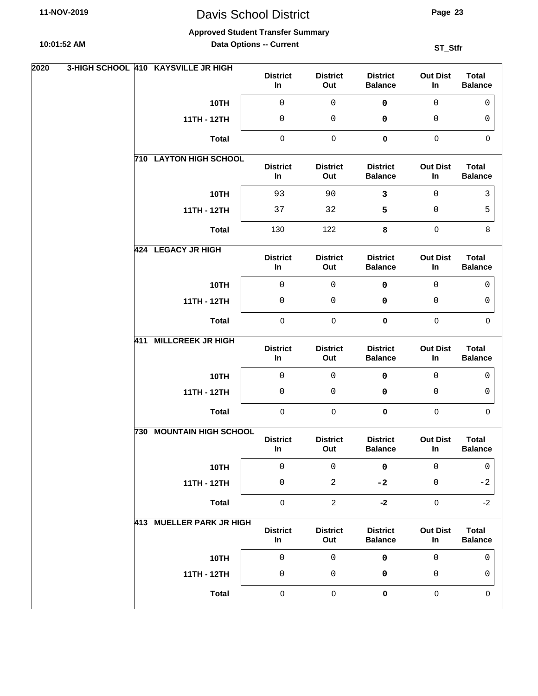**Approved Student Transfer Summary**

**10:01:52 AM**

**Data Options -- Current**

| 2020 |  | 3-HIGH SCHOOL 410 KAYSVILLE JR HIGH | <b>District</b><br>In | <b>District</b><br>Out | <b>District</b><br><b>Balance</b> | <b>Out Dist</b><br>In | <b>Total</b><br><b>Balance</b> |
|------|--|-------------------------------------|-----------------------|------------------------|-----------------------------------|-----------------------|--------------------------------|
|      |  | 10TH                                | $\mathsf 0$           | $\mathsf 0$            | $\pmb{0}$                         | $\mathbf 0$           | $\mathbf{0}$                   |
|      |  | 11TH - 12TH                         | 0                     | 0                      | 0                                 | 0                     | 0                              |
|      |  | <b>Total</b>                        | $\pmb{0}$             | $\pmb{0}$              | $\pmb{0}$                         | $\mathbf 0$           | $\mathbf 0$                    |
|      |  | <b>710 LAYTON HIGH SCHOOL</b>       | <b>District</b><br>In | <b>District</b><br>Out | <b>District</b><br><b>Balance</b> | <b>Out Dist</b><br>In | <b>Total</b><br><b>Balance</b> |
|      |  | 10TH                                | 93                    | 90                     | $\mathbf{3}$                      | 0                     | 3                              |
|      |  | 11TH - 12TH                         | 37                    | 32                     | 5                                 | 0                     | 5                              |
|      |  | <b>Total</b>                        | 130                   | 122                    | 8                                 | $\mathbf 0$           | 8                              |
|      |  | 424 LEGACY JR HIGH                  | <b>District</b><br>In | <b>District</b><br>Out | <b>District</b><br><b>Balance</b> | <b>Out Dist</b><br>In | <b>Total</b><br><b>Balance</b> |
|      |  | 10TH                                | $\mathsf 0$           | $\mathbf 0$            | $\mathbf 0$                       | $\mathbf 0$           | 0                              |
|      |  | 11TH - 12TH                         | 0                     | 0                      | 0                                 | 0                     | 0                              |
|      |  | <b>Total</b>                        | $\pmb{0}$             | $\pmb{0}$              | 0                                 | $\pmb{0}$             | $\mathbf 0$                    |
|      |  | 411 MILLCREEK JR HIGH               | <b>District</b><br>In | <b>District</b><br>Out | <b>District</b><br><b>Balance</b> | <b>Out Dist</b><br>In | <b>Total</b><br><b>Balance</b> |
|      |  | 10TH                                | $\mathsf 0$           | 0                      | $\mathbf 0$                       | $\mathbf 0$           | 0                              |
|      |  | 11TH - 12TH                         | $\mathbf 0$           | 0                      | 0                                 | 0                     | 0                              |
|      |  | <b>Total</b>                        | 0                     | $\mathbf 0$            | 0                                 | $\mathbf 0$           | $\Omega$                       |
|      |  | <b>730 MOUNTAIN HIGH SCHOOL</b>     | <b>District</b><br>In | <b>District</b><br>Out | <b>District</b><br><b>Balance</b> | <b>Out Dist</b><br>In | <b>Total</b><br><b>Balance</b> |
|      |  | 10TH                                | $\mathsf 0$           | $\mathsf 0$            | $\pmb{0}$                         | $\mathsf 0$           | 0                              |
|      |  | 11TH - 12TH                         | $\mathsf 0$           | $\sqrt{2}$             | $-2$                              | 0                     | $-2$                           |
|      |  | <b>Total</b>                        | $\pmb{0}$             | $\overline{c}$         | $-2$                              | $\pmb{0}$             | $-2$                           |
|      |  | 413 MUELLER PARK JR HIGH            | <b>District</b><br>In | <b>District</b><br>Out | <b>District</b><br><b>Balance</b> | <b>Out Dist</b><br>In | <b>Total</b><br><b>Balance</b> |
|      |  | 10TH                                | $\mathsf 0$           | $\mathsf 0$            | 0                                 | $\mathsf 0$           | $\mathbf 0$                    |
|      |  | 11TH - 12TH                         | $\mathsf 0$           | 0                      | 0                                 | 0                     | 0                              |
|      |  | <b>Total</b>                        | $\pmb{0}$             | $\pmb{0}$              | 0                                 | $\pmb{0}$             | $\mathbf 0$                    |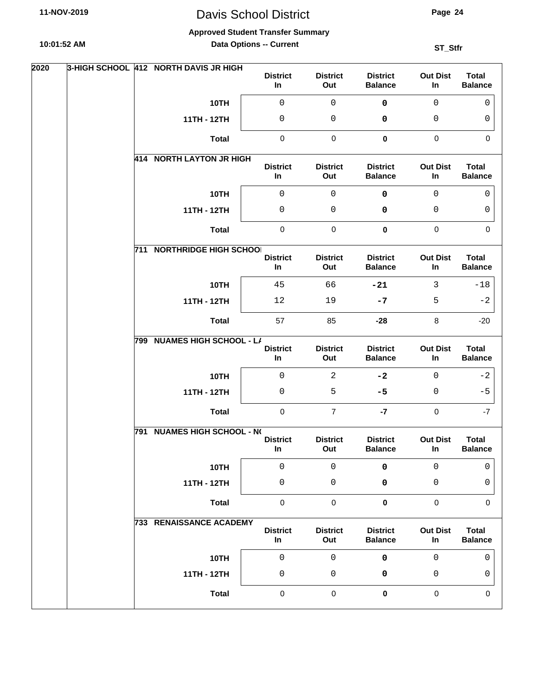**Approved Student Transfer Summary**

**10:01:52 AM**

**Data Options -- Current**

| 2020 |     | 3-HIGH SCHOOL 412 NORTH DAVIS JR HIGH | <b>District</b><br>In | <b>District</b><br>Out | <b>District</b><br><b>Balance</b> | <b>Out Dist</b><br>In | <b>Total</b><br><b>Balance</b> |
|------|-----|---------------------------------------|-----------------------|------------------------|-----------------------------------|-----------------------|--------------------------------|
|      |     | 10TH                                  | 0                     | $\mathsf 0$            | $\pmb{0}$                         | $\mathbf 0$           | $\mathbf 0$                    |
|      |     | 11TH - 12TH                           | 0                     | 0                      | 0                                 | 0                     | 0                              |
|      |     | <b>Total</b>                          | 0                     | $\pmb{0}$              | $\mathbf 0$                       | $\pmb{0}$             | $\mathbf 0$                    |
|      |     | 414 NORTH LAYTON JR HIGH              | <b>District</b><br>In | <b>District</b><br>Out | <b>District</b><br><b>Balance</b> | <b>Out Dist</b><br>In | <b>Total</b><br><b>Balance</b> |
|      |     | 10TH                                  | 0                     | $\mathsf 0$            | 0                                 | $\mathbf{0}$          | 0                              |
|      |     | 11TH - 12TH                           | 0                     | 0                      | 0                                 | 0                     | 0                              |
|      |     | <b>Total</b>                          | $\pmb{0}$             | $\pmb{0}$              | $\pmb{0}$                         | $\pmb{0}$             | $\mathbf 0$                    |
|      |     | <b>711 NORTHRIDGE HIGH SCHOOI</b>     | <b>District</b><br>In | <b>District</b><br>Out | <b>District</b><br><b>Balance</b> | <b>Out Dist</b><br>In | <b>Total</b><br><b>Balance</b> |
|      |     | 10TH                                  | 45                    | 66                     | $-21$                             | 3                     | $-18$                          |
|      |     | 11TH - 12TH                           | 12                    | 19                     | $-7$                              | 5                     | $-2$                           |
|      |     | <b>Total</b>                          | 57                    | 85                     | $-28$                             | 8                     | $-20$                          |
|      | 799 | <b>NUAMES HIGH SCHOOL - L/</b>        | <b>District</b><br>In | <b>District</b><br>Out | <b>District</b><br><b>Balance</b> | <b>Out Dist</b><br>In | <b>Total</b><br><b>Balance</b> |
|      |     | 10TH                                  | 0                     | $\overline{2}$         | $-2$                              | $\mathbf{0}$          | $-2$                           |
|      |     | 11TH - 12TH                           | 0                     | 5                      | $-5$                              | 0                     | $-5$                           |
|      |     | <b>Total</b>                          | $\mathbf 0$           | $\overline{7}$         | $-7$                              | $\mathbf 0$           | -7                             |
|      |     | 791 NUAMES HIGH SCHOOL - NO           |                       |                        |                                   |                       |                                |
|      |     |                                       | <b>District</b><br>In | <b>District</b><br>Out | <b>District</b><br><b>Balance</b> | <b>Out Dist</b><br>In | <b>Total</b><br><b>Balance</b> |
|      |     | 10TH                                  | $\mathsf 0$           | $\mathsf 0$            | 0                                 | 0                     | 0                              |
|      |     | 11TH - 12TH                           | 0                     | 0                      | 0                                 | 0                     | 0                              |
|      |     | <b>Total</b>                          | $\pmb{0}$             | $\pmb{0}$              | $\mathbf 0$                       | $\pmb{0}$             | 0                              |
|      |     | <b>733 RENAISSANCE ACADEMY</b>        | <b>District</b><br>In | <b>District</b><br>Out | <b>District</b><br><b>Balance</b> | <b>Out Dist</b><br>In | <b>Total</b><br><b>Balance</b> |
|      |     | 10TH                                  | $\mathsf{O}\xspace$   | $\mathsf 0$            | 0                                 | $\mathsf 0$           | 0                              |
|      |     | 11TH - 12TH                           | 0                     | 0                      | 0                                 | 0                     | 0                              |
|      |     | <b>Total</b>                          | $\pmb{0}$             | $\pmb{0}$              | $\pmb{0}$                         | $\pmb{0}$             | 0                              |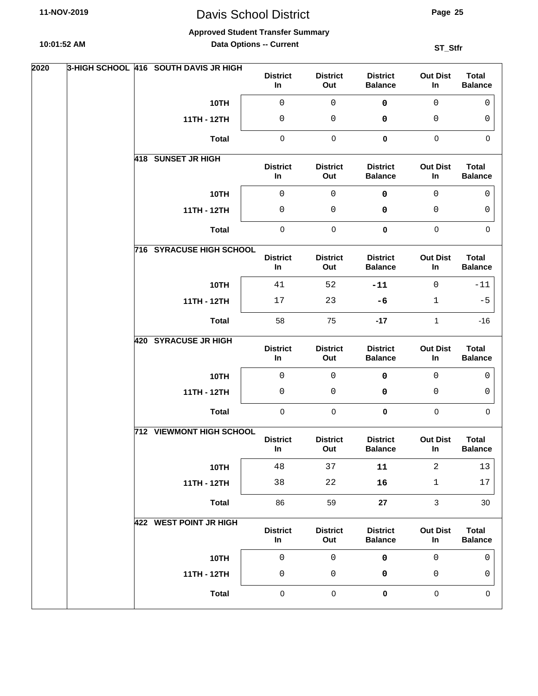**Approved Student Transfer Summary**

**10:01:52 AM**

**Data Options -- Current**

| 2020 |  | 3-HIGH SCHOOL 416 SOUTH DAVIS JR HIGH | <b>District</b><br>In | <b>District</b><br>Out | <b>District</b><br><b>Balance</b> | <b>Out Dist</b><br>In | <b>Total</b><br><b>Balance</b> |
|------|--|---------------------------------------|-----------------------|------------------------|-----------------------------------|-----------------------|--------------------------------|
|      |  | 10TH                                  | $\mathsf 0$           | $\mathsf 0$            | $\pmb{0}$                         | $\mathbf 0$           | $\mathbf{0}$                   |
|      |  | 11TH - 12TH                           | 0                     | 0                      | 0                                 | 0                     | 0                              |
|      |  | <b>Total</b>                          | $\pmb{0}$             | $\pmb{0}$              | $\pmb{0}$                         | $\mathbf 0$           | $\mathbf 0$                    |
|      |  | 418 SUNSET JR HIGH                    | <b>District</b><br>In | <b>District</b><br>Out | <b>District</b><br><b>Balance</b> | <b>Out Dist</b><br>In | <b>Total</b><br><b>Balance</b> |
|      |  | 10TH                                  | $\mathsf 0$           | $\mathsf 0$            | 0                                 | $\mathbf 0$           | 0                              |
|      |  | 11TH - 12TH                           | $\mathsf 0$           | 0                      | 0                                 | 0                     | 0                              |
|      |  | <b>Total</b>                          | $\pmb{0}$             | $\pmb{0}$              | $\pmb{0}$                         | $\pmb{0}$             | $\mathbf 0$                    |
|      |  | <b>716 SYRACUSE HIGH SCHOOL</b>       | <b>District</b><br>In | <b>District</b><br>Out | <b>District</b><br><b>Balance</b> | <b>Out Dist</b><br>In | <b>Total</b><br><b>Balance</b> |
|      |  | 10TH                                  | 41                    | 52                     | $-11$                             | $\mathbf 0$           | $-11$                          |
|      |  | 11TH - 12TH                           | 17                    | 23                     | $-6$                              | $\mathbf{1}$          | $-5$                           |
|      |  | <b>Total</b>                          | 58                    | 75                     | $-17$                             | $\mathbf{1}$          | $-16$                          |
|      |  | 420 SYRACUSE JR HIGH                  | <b>District</b><br>In | <b>District</b><br>Out | <b>District</b><br><b>Balance</b> | <b>Out Dist</b><br>In | <b>Total</b><br><b>Balance</b> |
|      |  | 10TH                                  | 0                     | 0                      | $\pmb{0}$                         | $\mathbf 0$           | 0                              |
|      |  | 11TH - 12TH                           | $\mathsf 0$           | 0                      | 0                                 | 0                     | 0                              |
|      |  | <b>Total</b>                          | 0                     | 0                      | 0                                 | $\mathbf 0$           | $\Omega$                       |
|      |  | <b>712 VIEWMONT HIGH SCHOOL</b>       | <b>District</b><br>In | <b>District</b><br>Out | <b>District</b><br><b>Balance</b> | <b>Out Dist</b><br>In | <b>Total</b><br><b>Balance</b> |
|      |  | 10TH                                  | 48                    | 37                     | ${\bf 11}$                        | $\overline{a}$        | 13                             |
|      |  | 11TH - 12TH                           | 38                    | $2\sqrt{2}$            | 16                                | $\mathbf{1}$          | $17\,$                         |
|      |  | <b>Total</b>                          | 86                    | 59                     | 27                                | $\mathbf{3}$          | 30                             |
|      |  | <b>422 WEST POINT JR HIGH</b>         | <b>District</b><br>In | <b>District</b><br>Out | <b>District</b><br><b>Balance</b> | <b>Out Dist</b><br>In | <b>Total</b><br><b>Balance</b> |
|      |  | 10TH                                  | $\mathsf{O}\xspace$   | $\mathsf{O}\xspace$    | $\pmb{0}$                         | $\mathsf 0$           | $\mathsf 0$                    |
|      |  | 11TH - 12TH                           | $\mathsf 0$           | $\mathsf{O}\xspace$    | 0                                 | 0                     | 0                              |
|      |  | <b>Total</b>                          | $\pmb{0}$             | $\pmb{0}$              | $\pmb{0}$                         | $\pmb{0}$             | $\mathbf 0$                    |